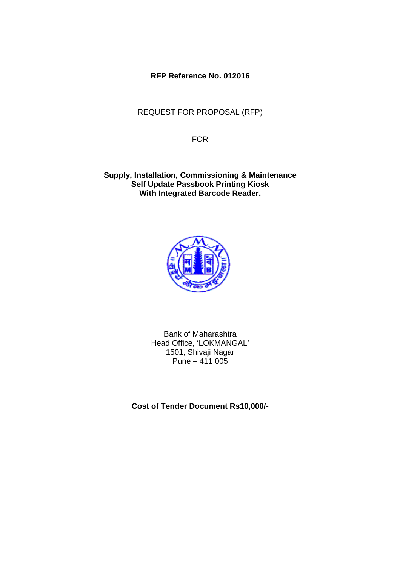**RFP Reference No. 012016**

REQUEST FOR PROPOSAL (RFP)

FOR

**Supply, Installation, Commissioning & Maintenance Self Update Passbook Printing Kiosk With Integrated Barcode Reader.**



Bank of Maharashtra Head Office, 'LOKMANGAL' 1501, Shivaji Nagar Pune –  $411005$ 

**Cost of Tender Document Rs10,000/-**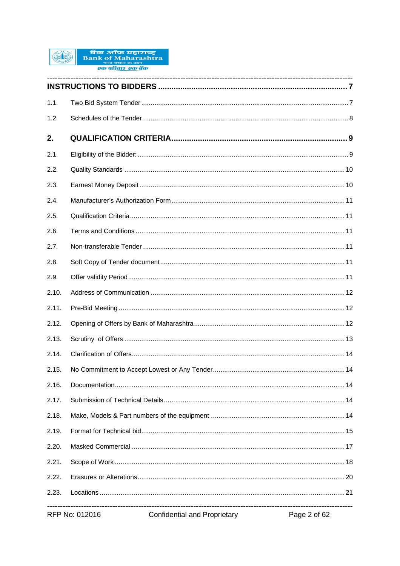

| 1.1.  |                |                                     |              |
|-------|----------------|-------------------------------------|--------------|
| 1.2.  |                |                                     |              |
| 2.    |                |                                     |              |
| 2.1.  |                |                                     |              |
| 2.2.  |                |                                     |              |
| 2.3.  |                |                                     |              |
| 2.4.  |                |                                     |              |
| 2.5.  |                |                                     |              |
| 2.6.  |                |                                     |              |
| 2.7.  |                |                                     |              |
| 2.8.  |                |                                     |              |
| 2.9.  |                |                                     |              |
| 2.10. |                |                                     |              |
| 2.11. |                |                                     |              |
| 2.12. |                |                                     |              |
| 2.13. |                |                                     |              |
| 2.14. |                |                                     |              |
| 2.15. |                |                                     |              |
| 2.16. |                |                                     |              |
| 2.17. |                |                                     |              |
| 2.18. |                |                                     |              |
| 2.19. |                |                                     |              |
| 2.20. |                |                                     |              |
| 2.21. |                |                                     |              |
| 2.22. |                |                                     |              |
| 2.23. |                |                                     |              |
|       | RFP No: 012016 | <b>Confidential and Proprietary</b> | Page 2 of 62 |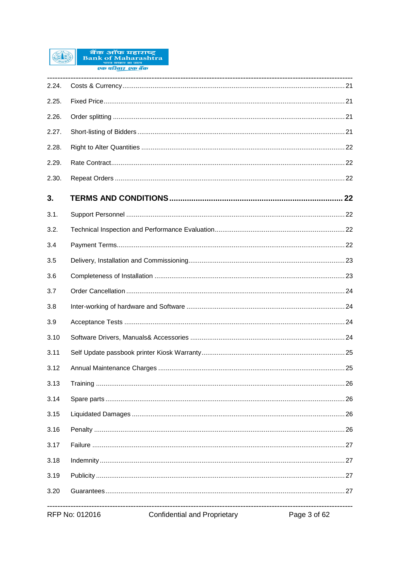

|       | RFP No: 012016<br><b>Confidential and Proprietary</b> | Page 3 of 62 |
|-------|-------------------------------------------------------|--------------|
| 3.20  |                                                       |              |
| 3.19  |                                                       |              |
| 3.18  |                                                       |              |
| 3.17  |                                                       |              |
| 3.16  |                                                       |              |
| 3.15  |                                                       |              |
| 3.14  |                                                       |              |
| 3.13  |                                                       |              |
| 3.12  |                                                       |              |
| 3.11  |                                                       |              |
| 3.10  |                                                       |              |
| 3.9   |                                                       |              |
| 3.8   |                                                       |              |
| 3.7   |                                                       |              |
| 3.6   |                                                       |              |
| 3.5   |                                                       |              |
| 3.4   |                                                       |              |
| 3.2.  |                                                       |              |
| 3.1.  |                                                       |              |
| 3.    |                                                       |              |
| 2.30. |                                                       |              |
| 2.29. |                                                       |              |
| 2.28. |                                                       |              |
| 2.27. |                                                       |              |
| 2.26. |                                                       |              |
| 2.25. |                                                       |              |
| 2.24. |                                                       |              |
|       |                                                       |              |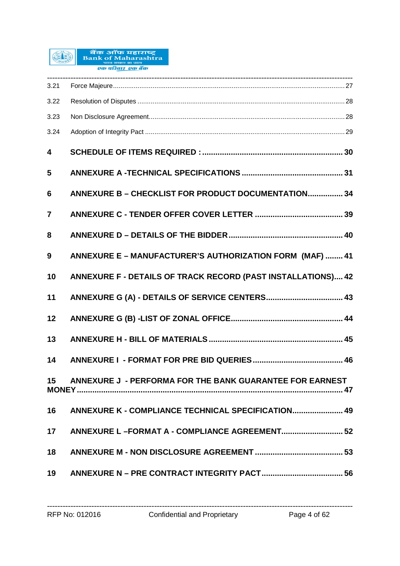

| 3.21           |                                                              |
|----------------|--------------------------------------------------------------|
| 3.22           |                                                              |
| 3.23           |                                                              |
| 3.24           |                                                              |
| 4              |                                                              |
| 5              |                                                              |
| 6              | ANNEXURE B - CHECKLIST FOR PRODUCT DOCUMENTATION 34          |
| $\overline{7}$ |                                                              |
| 8              |                                                              |
| 9              | ANNEXURE E - MANUFACTURER'S AUTHORIZATION FORM (MAF)  41     |
| 10             | ANNEXURE F - DETAILS OF TRACK RECORD (PAST INSTALLATIONS) 42 |
| 11             |                                                              |
| 12             |                                                              |
| 13             |                                                              |
| 14             |                                                              |
| 15             | ANNEXURE J - PERFORMA FOR THE BANK GUARANTEE FOR EARNEST     |
| 16             | ANNEXURE K - COMPLIANCE TECHNICAL SPECIFICATION 49           |
| 17             |                                                              |
| 18             |                                                              |
| 19             |                                                              |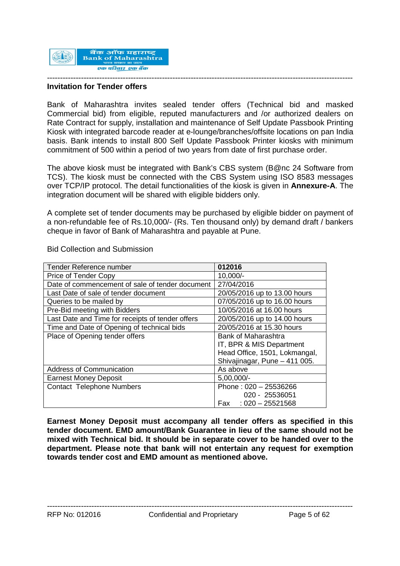

#### **Invitation for Tender offers**

Bank of Maharashtra invites sealed tender offers (Technical bid and masked Commercial bid) from eligible, reputed manufacturers and /or authorized dealers on Rate Contract for supply, installation and maintenance of Self Update Passbook Printing Kiosk with integrated barcode reader at e-lounge/branches/offsite locations on pan India basis. Bank intends to install 800 Self Update Passbook Printer kiosks with minimum commitment of 500 within a period of two years from date of first purchase order.

The above kiosk must be integrated with Bank's CBS system (B@nc 24 Software from TCS). The kiosk must be connected with the CBS System using ISO 8583 messages over TCP/IP protocol. The detail functionalities of the kiosk is given in **Annexure-A**. The integration document will be shared with eligible bidders only.

A complete set of tender documents may be purchased by eligible bidder on payment of a non-refundable fee of Rs.10,000/- (Rs. Ten thousand only) by demand draft / bankers cheque in favor of Bank of Maharashtra and payable at Pune.

| Tender Reference number                          | 012016                        |  |
|--------------------------------------------------|-------------------------------|--|
| Price of Tender Copy                             | $10,000/-$                    |  |
| Date of commencement of sale of tender document  | 27/04/2016                    |  |
| Last Date of sale of tender document             | 20/05/2016 up to 13.00 hours  |  |
| Queries to be mailed by                          | 07/05/2016 up to 16.00 hours  |  |
| Pre-Bid meeting with Bidders                     | 10/05/2016 at 16.00 hours     |  |
| Last Date and Time for receipts of tender offers | 20/05/2016 up to 14.00 hours  |  |
| Time and Date of Opening of technical bids       | 20/05/2016 at 15.30 hours     |  |
| Place of Opening tender offers                   | <b>Bank of Maharashtra</b>    |  |
|                                                  | IT, BPR & MIS Department      |  |
|                                                  | Head Office, 1501, Lokmangal, |  |
|                                                  | Shivajinagar, Pune - 411 005. |  |
| Address of Communication                         | As above                      |  |
| <b>Earnest Money Deposit</b>                     | $5,00,000/-$                  |  |
| <b>Contact Telephone Numbers</b>                 | Phone: 020 - 25536266         |  |
|                                                  | 020 - 25536051                |  |
|                                                  | Fax: $0.20 - 25521568$        |  |

Bid Collection and Submission

**Earnest Money Deposit must accompany all tender offers as specified in this tender document. EMD amount/Bank Guarantee in lieu of the same should not be mixed with Technical bid. It should be in separate cover to be handed over to the department. Please note that bank will not entertain any request for exemption towards tender cost and EMD amount as mentioned above.**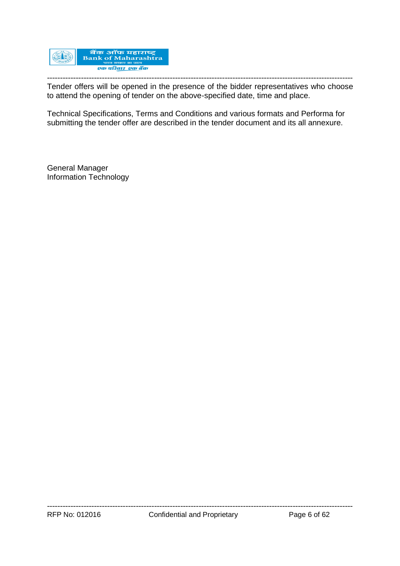

--------------------------------------------------------------------------------------------------------------------- Tender offers will be opened in the presence of the bidder representatives who choose to attend the opening of tender on the above-specified date, time and place.

Technical Specifications, Terms and Conditions and various formats and Performa for submitting the tender offer are described in the tender document and its all annexure.

General Manager Information Technology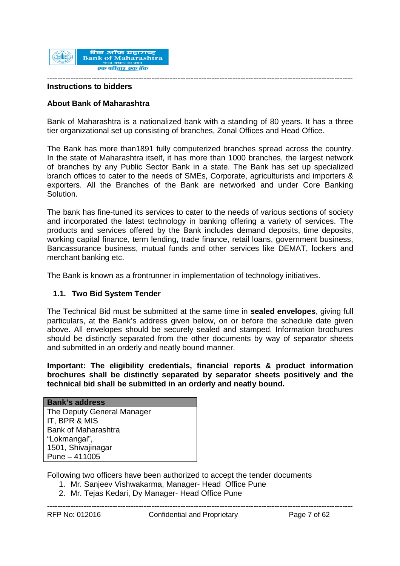

#### **Instructions to bidders**

### **About Bank of Maharashtra**

Bank of Maharashtra is a nationalized bank with a standing of 80 years. It has a three tier organizational set up consisting of branches, Zonal Offices and Head Office.

The Bank has more than1891 fully computerized branches spread across the country. In the state of Maharashtra itself, it has more than 1000 branches, the largest network of branches by any Public Sector Bank in a state. The Bank has set up specialized branch offices to cater to the needs of SMEs, Corporate, agriculturists and importers & exporters. All the Branches of the Bank are networked and under Core Banking Solution.

The bank has fine-tuned its services to cater to the needs of various sections of society and incorporated the latest technology in banking offering a variety of services. The products and services offered by the Bank includes demand deposits, time deposits, working capital finance, term lending, trade finance, retail loans, government business, Bancassurance business, mutual funds and other services like DEMAT, lockers and merchant banking etc.

The Bank is known as a frontrunner in implementation of technology initiatives.

#### **1.1. Two Bid System Tender**

The Technical Bid must be submitted at the same time in **sealed envelopes**, giving full particulars, at the Bank's address given below, on or before the schedule date given above. All envelopes should be securely sealed and stamped. Information brochures should be distinctly separated from the other documents by way of separator sheets and submitted in an orderly and neatly bound manner.

**Important: The eligibility credentials, financial reports & product information brochures shall be distinctly separated by separator sheets positively and the technical bid shall be submitted in an orderly and neatly bound.**

| <b>Bank's address</b>      |
|----------------------------|
| The Deputy General Manager |
| IT, BPR & MIS              |
| <b>Bank of Maharashtra</b> |
| "Lokmangal",               |
| 1501, Shivajinagar         |
| Pune $-411005$             |

Following two officers have been authorized to accept the tender documents

- 1. Mr. Sanjeev Vishwakarma, Manager- Head Office Pune
- 2. Mr. Tejas Kedari, Dy Manager- Head Office Pune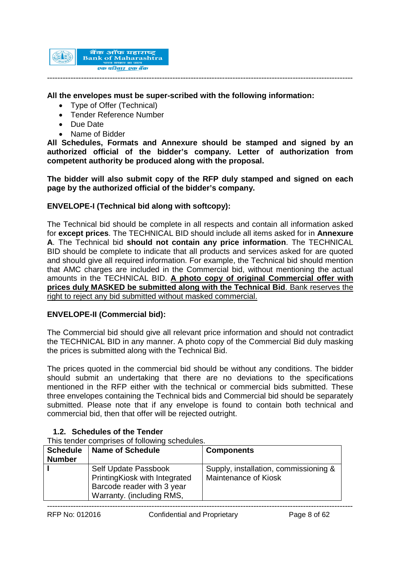

### **All the envelopes must be super-scribed with the following information:**

- Type of Offer (Technical)
- Tender Reference Number
- Due Date
- Name of Bidder

**All Schedules, Formats and Annexure should be stamped and signed by an authorized official of the bidder's company. Letter of authorization from competent authority be produced along with the proposal.**

**The bidder will also submit copy of the RFP duly stamped and signed on each page by the authorized official of the bidder's company.**

### **ENVELOPE-I (Technical bid along with softcopy):**

The Technical bid should be complete in all respects and contain all information asked for **except prices**. The TECHNICAL BID should include all items asked for in **Annexure A**. The Technical bid **should not contain any price information**. The TECHNICAL BID should be complete to indicate that all products and services asked for are quoted and should give all required information. For example, the Technical bid should mention that AMC charges are included in the Commercial bid, without mentioning the actual amounts in the TECHNICAL BID. **A photo copy of original Commercial offer with prices duly MASKED be submitted along with the Technical Bid**. Bank reserves the right to reject any bid submitted without masked commercial.

### **ENVELOPE-II (Commercial bid):**

The Commercial bid should give all relevant price information and should not contradict the TECHNICAL BID in any manner. A photo copy of the Commercial Bid duly masking the prices is submitted along with the Technical Bid.

The prices quoted in the commercial bid should be without any conditions. The bidder should submit an undertaking that there are no deviations to the specifications mentioned in the RFP either with the technical or commercial bids submitted. These three envelopes containing the Technical bids and Commercial bid should be separately submitted. Please note that if any envelope is found to contain both technical and commercial bid, then that offer will be rejected outright.

### **1.2. Schedules of the Tender**

This tender comprises of following schedules.

| <b>Schedule</b><br><b>Number</b> | <b>Name of Schedule</b>                                                                                          | <b>Components</b>                                                    |
|----------------------------------|------------------------------------------------------------------------------------------------------------------|----------------------------------------------------------------------|
|                                  | Self Update Passbook<br>PrintingKiosk with Integrated<br>Barcode reader with 3 year<br>Warranty. (including RMS, | Supply, installation, commissioning &<br><b>Maintenance of Kiosk</b> |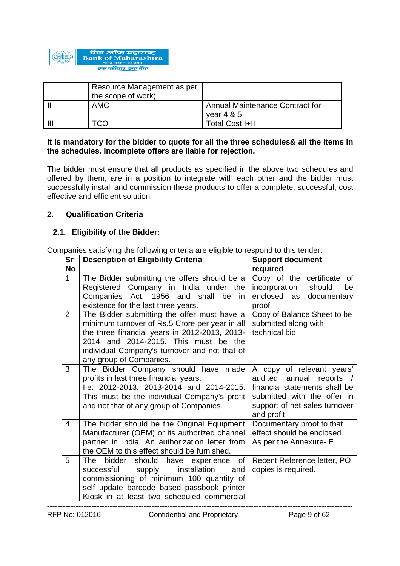

| Resource Management as per<br>the scope of work) |                                                 |
|--------------------------------------------------|-------------------------------------------------|
| <b>AMC</b>                                       | Annual Maintenance Contract for<br>vear $4 & 5$ |
|                                                  | <b>Total Cost I+II</b>                          |

### **It is mandatory for the bidder to quote for all the three schedules& all the items in the schedules. Incomplete offers are liable for rejection.**

The bidder must ensure that all products as specified in the above two schedules and offered by them, are in a position to integrate with each other and the bidder must successfully install and commission these products to offer a complete, successful, cost effective and efficient solution.

### **2. Qualification Criteria**

# **2.1. Eligibility of the Bidder:**

Companies satisfying the following criteria are eligible to respond to this tender:

| Sr<br><b>No</b> | <b>Description of Eligibility Criteria</b>                                                                                                                                                                                                                         | <b>Support document</b><br>required                                                                                                                                  |  |
|-----------------|--------------------------------------------------------------------------------------------------------------------------------------------------------------------------------------------------------------------------------------------------------------------|----------------------------------------------------------------------------------------------------------------------------------------------------------------------|--|
| $\mathbf{1}$    | The Bidder submitting the offers should be a<br>Registered Company in India under the<br>Companies Act, 1956 and shall be in<br>existence for the last three years.                                                                                                | Copy of the certificate of<br>incorporation<br>should<br>be<br>enclosed as documentary<br>proof                                                                      |  |
| 2               | The Bidder submitting the offer must have a<br>minimum turnover of Rs.5 Crore per year in all<br>the three financial years in 2012-2013, 2013-<br>2014 and 2014-2015. This must be the<br>individual Company's turnover and not that of<br>any group of Companies. | Copy of Balance Sheet to be<br>submitted along with<br>technical bid                                                                                                 |  |
| 3               | The Bidder Company should have made<br>profits in last three financial years.<br>I.e. 2012-2013, 2013-2014 and 2014-2015.<br>This must be the individual Company's profit<br>and not that of any group of Companies.                                               | A copy of relevant years'<br>audited annual reports /<br>financial statements shall be<br>submitted with the offer in<br>support of net sales turnover<br>and profit |  |
| 4               | The bidder should be the Original Equipment<br>Manufacturer (OEM) or its authorized channel<br>partner in India. An authorization letter from<br>the OEM to this effect should be furnished.                                                                       | Documentary proof to that<br>effect should be enclosed.<br>As per the Annexure- E.                                                                                   |  |
| 5               | The bidder should have experience of<br>installation<br>successful<br>supply,<br>and<br>commissioning of minimum 100 quantity of<br>self update barcode based passbook printer<br>Kiosk in at least two scheduled commercial                                       | Recent Reference letter, PO<br>copies is required.                                                                                                                   |  |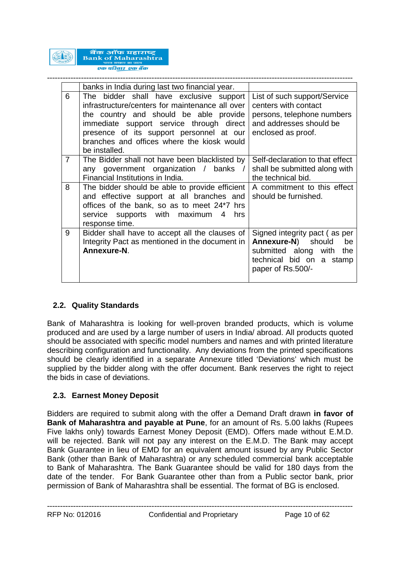

|                | banks in India during last two financial year.                                                                                                                                                                                                                                              |                                                                                                                                               |
|----------------|---------------------------------------------------------------------------------------------------------------------------------------------------------------------------------------------------------------------------------------------------------------------------------------------|-----------------------------------------------------------------------------------------------------------------------------------------------|
| 6              | The bidder shall have exclusive support<br>infrastructure/centers for maintenance all over<br>the country and should be able provide<br>immediate support service through direct<br>presence of its support personnel at our<br>branches and offices where the kiosk would<br>be installed. | List of such support/Service<br>centers with contact<br>persons, telephone numbers<br>and addresses should be<br>enclosed as proof.           |
| $\overline{7}$ | The Bidder shall not have been blacklisted by<br>any government organization / banks /<br>Financial Institutions in India.                                                                                                                                                                  | Self-declaration to that effect<br>shall be submitted along with<br>the technical bid.                                                        |
| 8              | The bidder should be able to provide efficient<br>and effective support at all branches and<br>offices of the bank, so as to meet 24*7 hrs<br>service supports with maximum<br>4<br>hrs<br>response time.                                                                                   | A commitment to this effect<br>should be furnished.                                                                                           |
| 9              | Bidder shall have to accept all the clauses of<br>Integrity Pact as mentioned in the document in<br>Annexure-N.                                                                                                                                                                             | Signed integrity pact (as per<br><b>Annexure-N)</b> should<br>be<br>submitted along with the<br>technical bid on a stamp<br>paper of Rs.500/- |

# **2.2. Quality Standards**

Bank of Maharashtra is looking for well-proven branded products, which is volume produced and are used by a large number of users in India/ abroad. All products quoted should be associated with specific model numbers and names and with printed literature describing configuration and functionality. Any deviations from the printed specifications should be clearly identified in a separate Annexure titled 'Deviations' which must be supplied by the bidder along with the offer document. Bank reserves the right to reject the bids in case of deviations.

### **2.3. Earnest Money Deposit**

Bidders are required to submit along with the offer a Demand Draft drawn **in favor of Bank of Maharashtra and payable at Pune**, for an amount of Rs. 5.00 lakhs (Rupees Five lakhs only) towards Earnest Money Deposit (EMD). Offers made without E.M.D. will be rejected. Bank will not pay any interest on the E.M.D. The Bank may accept Bank Guarantee in lieu of EMD for an equivalent amount issued by any Public Sector Bank (other than Bank of Maharashtra) or any scheduled commercial bank acceptable to Bank of Maharashtra. The Bank Guarantee should be valid for 180 days from the date of the tender. For Bank Guarantee other than from a Public sector bank, prior permission of Bank of Maharashtra shall be essential. The format of BG is enclosed.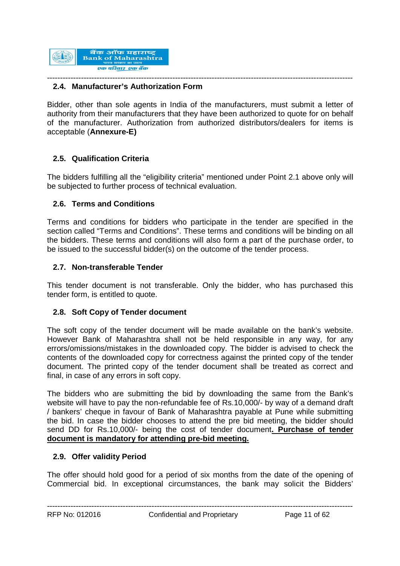

#### --------------------------------------------------------------------------------------------------------------------- **2.4. Manufacturer's Authorization Form**

Bidder, other than sole agents in India of the manufacturers, must submit a letter of authority from their manufacturers that they have been authorized to quote for on behalf of the manufacturer. Authorization from authorized distributors/dealers for items is acceptable (**Annexure-E)**

# **2.5. Qualification Criteria**

The bidders fulfilling all the "eligibility criteria" mentioned under Point 2.1 above only will be subjected to further process of technical evaluation.

### **2.6. Terms and Conditions**

Terms and conditions for bidders who participate in the tender are specified in the section called "Terms and Conditions". These terms and conditions will be binding on all the bidders. These terms and conditions will also form a part of the purchase order, to be issued to the successful bidder(s) on the outcome of the tender process.

### **2.7. Non-transferable Tender**

This tender document is not transferable. Only the bidder, who has purchased this tender form, is entitled to quote.

### **2.8. Soft Copy of Tender document**

The soft copy of the tender document will be made available on the bank's website. However Bank of Maharashtra shall not be held responsible in any way, for any errors/omissions/mistakes in the downloaded copy. The bidder is advised to check the contents of the downloaded copy for correctness against the printed copy of the tender document. The printed copy of the tender document shall be treated as correct and final, in case of any errors in soft copy.

The bidders who are submitting the bid by downloading the same from the Bank's website will have to pay the non-refundable fee of Rs.10,000/- by way of a demand draft / bankers' cheque in favour of Bank of Maharashtra payable at Pune while submitting the bid. In case the bidder chooses to attend the pre bid meeting, the bidder should send DD for Rs.10,000/- being the cost of tender document**. Purchase of tender document is mandatory for attending pre-bid meeting.**

#### **2.9. Offer validity Period**

The offer should hold good for a period of six months from the date of the opening of Commercial bid. In exceptional circumstances, the bank may solicit the Bidders'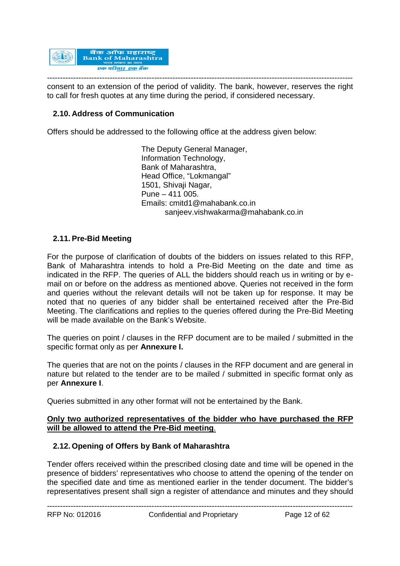

-------------------------------------------------------------------------------------------------------------------- consent to an extension of the period of validity. The bank, however, reserves the right to call for fresh quotes at any time during the period, if considered necessary.

# **2.10. Address of Communication**

Offers should be addressed to the following office at the address given below:

The Deputy General Manager, Information Technology, Bank of Maharashtra, Head Office, "Lokmangal" 1501, Shivaji Nagar, Pune – 411 005. Emails: cmitd1@mahabank.co.in sanjeev.vishwakarma@mahabank.co.in

### **2.11. Pre-Bid Meeting**

For the purpose of clarification of doubts of the bidders on issues related to this RFP, Bank of Maharashtra intends to hold a Pre-Bid Meeting on the date and time as indicated in the RFP. The queries of ALL the bidders should reach us in writing or by email on or before on the address as mentioned above. Queries not received in the form and queries without the relevant details will not be taken up for response. It may be noted that no queries of any bidder shall be entertained received after the Pre-Bid Meeting. The clarifications and replies to the queries offered during the Pre-Bid Meeting will be made available on the Bank's Website.

The queries on point / clauses in the RFP document are to be mailed / submitted in the specific format only as per **Annexure I.**

The queries that are not on the points / clauses in the RFP document and are general in nature but related to the tender are to be mailed / submitted in specific format only as per **Annexure I**.

Queries submitted in any other format will not be entertained by the Bank.

### **Only two authorized representatives of the bidder who have purchased the RFP will be allowed to attend the Pre-Bid meeting**.

### **2.12. Opening of Offers by Bank of Maharashtra**

Tender offers received within the prescribed closing date and time will be opened in the presence of bidders' representatives who choose to attend the opening of the tender on the specified date and time as mentioned earlier in the tender document. The bidder's representatives present shall sign a register of attendance and minutes and they should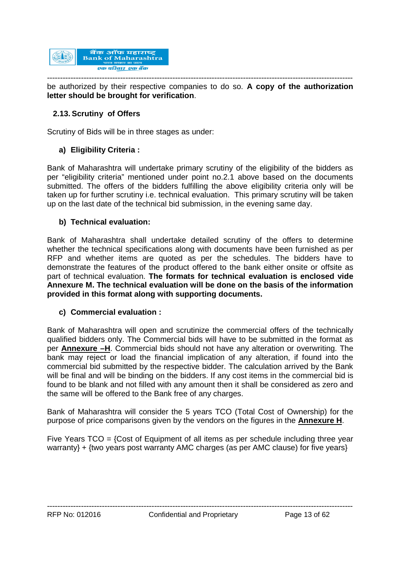

-------------------------------------------------------------------------------------------------------------------- be authorized by their respective companies to do so. **A copy of the authorization letter should be brought for verification**.

# **2.13. Scrutiny of Offers**

Scrutiny of Bids will be in three stages as under:

# **a) Eligibility Criteria :**

Bank of Maharashtra will undertake primary scrutiny of the eligibility of the bidders as per "eligibility criteria" mentioned under point no.2.1 above based on the documents submitted. The offers of the bidders fulfilling the above eligibility criteria only will be taken up for further scrutiny i.e. technical evaluation. This primary scrutiny will be taken up on the last date of the technical bid submission, in the evening same day.

# **b) Technical evaluation:**

Bank of Maharashtra shall undertake detailed scrutiny of the offers to determine whether the technical specifications along with documents have been furnished as per RFP and whether items are quoted as per the schedules. The bidders have to demonstrate the features of the product offered to the bank either onsite or offsite as part of technical evaluation. **The formats for technical evaluation is enclosed vide Annexure M. The technical evaluation will be done on the basis of the information provided in this format along with supporting documents.**

### **c) Commercial evaluation :**

Bank of Maharashtra will open and scrutinize the commercial offers of the technically qualified bidders only. The Commercial bids will have to be submitted in the format as per **Annexure –H**. Commercial bids should not have any alteration or overwriting. The bank may reject or load the financial implication of any alteration, if found into the commercial bid submitted by the respective bidder. The calculation arrived by the Bank will be final and will be binding on the bidders. If any cost items in the commercial bid is found to be blank and not filled with any amount then it shall be considered as zero and the same will be offered to the Bank free of any charges.

Bank of Maharashtra will consider the 5 years TCO (Total Cost of Ownership) for the purpose of price comparisons given by the vendors on the figures in the **Annexure H**.

Five Years  $TCO = \{Cost \text{ of } Equi$  for all items as per schedule including three year warranty} + {two years post warranty AMC charges (as per AMC clause) for five years}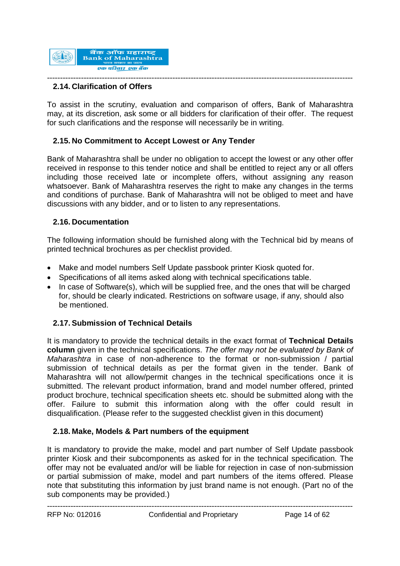

#### --------------------------------------------------------------------------------------------------------------------- **2.14. Clarification of Offers**

To assist in the scrutiny, evaluation and comparison of offers, Bank of Maharashtra may, at its discretion, ask some or all bidders for clarification of their offer. The request for such clarifications and the response will necessarily be in writing.

### **2.15. No Commitment to Accept Lowest or Any Tender**

Bank of Maharashtra shall be under no obligation to accept the lowest or any other offer received in response to this tender notice and shall be entitled to reject any or all offers including those received late or incomplete offers, without assigning any reason whatsoever. Bank of Maharashtra reserves the right to make any changes in the terms and conditions of purchase. Bank of Maharashtra will not be obliged to meet and have discussions with any bidder, and or to listen to any representations.

### **2.16. Documentation**

The following information should be furnished along with the Technical bid by means of printed technical brochures as per checklist provided.

- Make and model numbers Self Update passbook printer Kiosk quoted for.
- Specifications of all items asked along with technical specifications table.
- In case of Software(s), which will be supplied free, and the ones that will be charged for, should be clearly indicated. Restrictions on software usage, if any, should also be mentioned.

### **2.17. Submission of Technical Details**

It is mandatory to provide the technical details in the exact format of **Technical Details column** given in the technical specifications. *The offer may not be evaluated by Bank of Maharashtra* in case of non-adherence to the format or non-submission / partial submission of technical details as per the format given in the tender. Bank of Maharashtra will not allow/permit changes in the technical specifications once it is submitted. The relevant product information, brand and model number offered, printed product brochure, technical specification sheets etc. should be submitted along with the offer. Failure to submit this information along with the offer could result in disqualification. (Please refer to the suggested checklist given in this document)

### **2.18. Make, Models & Part numbers of the equipment**

It is mandatory to provide the make, model and part number of Self Update passbook printer Kiosk and their subcomponents as asked for in the technical specification. The offer may not be evaluated and/or will be liable for rejection in case of non-submission or partial submission of make, model and part numbers of the items offered. Please note that substituting this information by just brand name is not enough. (Part no of the sub components may be provided.)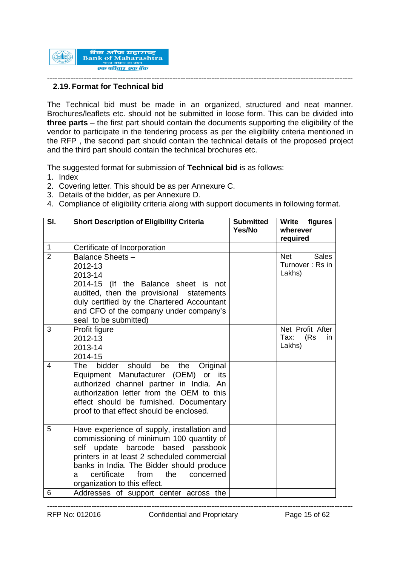

#### --------------------------------------------------------------------------------------------------------------------- **2.19. Format for Technical bid**

The Technical bid must be made in an organized, structured and neat manner. Brochures/leaflets etc. should not be submitted in loose form. This can be divided into **three parts** – the first part should contain the documents supporting the eligibility of the vendor to participate in the tendering process as per the eligibility criteria mentioned in the RFP , the second part should contain the technical details of the proposed project and the third part should contain the technical brochures etc.

The suggested format for submission of **Technical bid** is as follows:

- 1. Index
- 2. Covering letter. This should be as per Annexure C.
- 3. Details of the bidder, as per Annexure D.
- 4. Compliance of eligibility criteria along with support documents in following format.

| SI.            | <b>Short Description of Eligibility Criteria</b>                                                                                                                                                                                                                                                                 | <b>Submitted</b><br>Yes/No | Write figures<br>wherever<br>required                   |
|----------------|------------------------------------------------------------------------------------------------------------------------------------------------------------------------------------------------------------------------------------------------------------------------------------------------------------------|----------------------------|---------------------------------------------------------|
| $\mathbf{1}$   | Certificate of Incorporation                                                                                                                                                                                                                                                                                     |                            |                                                         |
| $\overline{2}$ | Balance Sheets -<br>2012-13<br>2013-14<br>2014-15 (If the Balance sheet is not<br>audited, then the provisional statements<br>duly certified by the Chartered Accountant<br>and CFO of the company under company's<br>seal to be submitted)                                                                      |                            | <b>Net</b><br><b>Sales</b><br>Turnover: Rs in<br>Lakhs) |
| 3              | Profit figure<br>2012-13<br>2013-14<br>2014-15                                                                                                                                                                                                                                                                   |                            | Net Profit After<br>(Rs)<br>Tax:<br>in<br>Lakhs)        |
| $\overline{4}$ | bidder should<br>The<br>be<br>the<br>Original<br>Equipment Manufacturer (OEM) or<br>its<br>authorized channel partner in India. An<br>authorization letter from the OEM to this<br>effect should be furnished. Documentary<br>proof to that effect should be enclosed.                                           |                            |                                                         |
| 5              | Have experience of supply, installation and<br>commissioning of minimum 100 quantity of<br>based passbook<br>self<br>update barcode<br>printers in at least 2 scheduled commercial<br>banks in India. The Bidder should produce<br>certificate<br>from<br>the<br>concerned<br>a.<br>organization to this effect. |                            |                                                         |
| 6              | Addresses of support center across the                                                                                                                                                                                                                                                                           |                            |                                                         |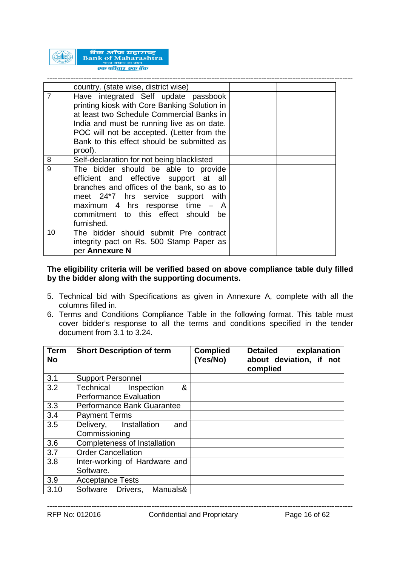

|                | country. (state wise, district wise)                                                                                                                                                                                                                                                   |  |
|----------------|----------------------------------------------------------------------------------------------------------------------------------------------------------------------------------------------------------------------------------------------------------------------------------------|--|
| $\overline{7}$ | Have integrated Self update passbook<br>printing kiosk with Core Banking Solution in<br>at least two Schedule Commercial Banks in<br>India and must be running live as on date.<br>POC will not be accepted. (Letter from the<br>Bank to this effect should be submitted as<br>proof). |  |
| 8              | Self-declaration for not being blacklisted                                                                                                                                                                                                                                             |  |
| 9              | The bidder should be able to provide<br>efficient and effective support at all<br>branches and offices of the bank, so as to<br>meet 24*7 hrs service support with<br>maximum 4 hrs response time - A<br>commitment to this effect should be<br>furnished.                             |  |
| 10             | The bidder should submit Pre contract<br>integrity pact on Rs. 500 Stamp Paper as<br>per Annexure N                                                                                                                                                                                    |  |

### **The eligibility criteria will be verified based on above compliance table duly filled by the bidder along with the supporting documents.**

- 5. Technical bid with Specifications as given in Annexure A, complete with all the columns filled in.
- 6. Terms and Conditions Compliance Table in the following format. This table must cover bidder's response to all the terms and conditions specified in the tender document from 3.1 to 3.24.

| <b>Term</b><br><b>No</b> | <b>Short Description of term</b>                              | <b>Complied</b><br>(Yes/No) | <b>Detailed</b><br>explanation<br>about deviation, if not<br>complied |
|--------------------------|---------------------------------------------------------------|-----------------------------|-----------------------------------------------------------------------|
| 3.1                      | <b>Support Personnel</b>                                      |                             |                                                                       |
| 3.2                      | &<br>Technical<br>Inspection<br><b>Performance Evaluation</b> |                             |                                                                       |
| 3.3                      | Performance Bank Guarantee                                    |                             |                                                                       |
| 3.4                      | <b>Payment Terms</b>                                          |                             |                                                                       |
| 3.5                      | Delivery, Installation<br>and<br>Commissioning                |                             |                                                                       |
| 3.6                      | Completeness of Installation                                  |                             |                                                                       |
| 3.7                      | <b>Order Cancellation</b>                                     |                             |                                                                       |
| 3.8                      | Inter-working of Hardware and<br>Software.                    |                             |                                                                       |
| 3.9                      | <b>Acceptance Tests</b>                                       |                             |                                                                       |
| 3.10                     | Software Drivers,<br>Manuals&                                 |                             |                                                                       |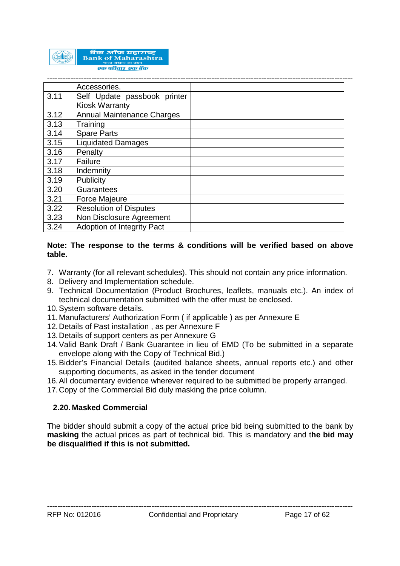

|      | Accessories.                      |  |
|------|-----------------------------------|--|
| 3.11 | Self Update passbook printer      |  |
|      | <b>Kiosk Warranty</b>             |  |
| 3.12 | <b>Annual Maintenance Charges</b> |  |
| 3.13 | Training                          |  |
| 3.14 | <b>Spare Parts</b>                |  |
| 3.15 | <b>Liquidated Damages</b>         |  |
| 3.16 | Penalty                           |  |
| 3.17 | Failure                           |  |
| 3.18 | Indemnity                         |  |
| 3.19 | Publicity                         |  |
| 3.20 | Guarantees                        |  |
| 3.21 | <b>Force Majeure</b>              |  |
| 3.22 | <b>Resolution of Disputes</b>     |  |
| 3.23 | Non Disclosure Agreement          |  |
| 3.24 | Adoption of Integrity Pact        |  |

### **Note: The response to the terms & conditions will be verified based on above table.**

- 7. Warranty (for all relevant schedules). This should not contain any price information.
- 8. Delivery and Implementation schedule.
- 9. Technical Documentation (Product Brochures, leaflets, manuals etc.). An index of technical documentation submitted with the offer must be enclosed.
- 10.System software details.
- 11.Manufacturers' Authorization Form ( if applicable ) as per Annexure E
- 12.Details of Past installation , as per Annexure F
- 13.Details of support centers as per Annexure G
- 14.Valid Bank Draft / Bank Guarantee in lieu of EMD (To be submitted in a separate envelope along with the Copy of Technical Bid.)
- 15.Bidder's Financial Details (audited balance sheets, annual reports etc.) and other supporting documents, as asked in the tender document
- 16.All documentary evidence wherever required to be submitted be properly arranged.
- 17.Copy of the Commercial Bid duly masking the price column.

### **2.20. Masked Commercial**

The bidder should submit a copy of the actual price bid being submitted to the bank by **masking** the actual prices as part of technical bid. This is mandatory and t**he bid may be disqualified if this is not submitted.**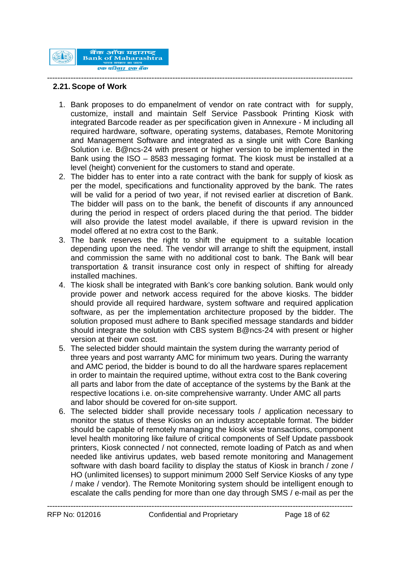

### **2.21. Scope of Work**

1. Bank proposes to do empanelment of vendor on rate contract with for supply, customize, install and maintain Self Service Passbook Printing Kiosk with integrated Barcode reader as per specification given in Annexure - M including all required hardware, software, operating systems, databases, Remote Monitoring and Management Software and integrated as a single unit with Core Banking Solution i.e. B@ncs-24 with present or higher version to be implemented in the Bank using the ISO – 8583 messaging format. The kiosk must be installed at a level (height) convenient for the customers to stand and operate.

- 2. The bidder has to enter into a rate contract with the bank for supply of kiosk as per the model, specifications and functionality approved by the bank. The rates will be valid for a period of two year, if not revised earlier at discretion of Bank. The bidder will pass on to the bank, the benefit of discounts if any announced during the period in respect of orders placed during the that period. The bidder will also provide the latest model available, if there is upward revision in the model offered at no extra cost to the Bank.
- 3. The bank reserves the right to shift the equipment to a suitable location depending upon the need. The vendor will arrange to shift the equipment, install and commission the same with no additional cost to bank. The Bank will bear transportation & transit insurance cost only in respect of shifting for already installed machines.
- 4. The kiosk shall be integrated with Bank's core banking solution. Bank would only provide power and network access required for the above kiosks. The bidder should provide all required hardware, system software and required application software, as per the implementation architecture proposed by the bidder. The solution proposed must adhere to Bank specified message standards and bidder should integrate the solution with CBS system B@ncs-24 with present or higher version at their own cost.
- 5. The selected bidder should maintain the system during the warranty period of three years and post warranty AMC for minimum two years. During the warranty and AMC period, the bidder is bound to do all the hardware spares replacement in order to maintain the required uptime, without extra cost to the Bank covering all parts and labor from the date of acceptance of the systems by the Bank at the respective locations i.e. on-site comprehensive warranty. Under AMC all parts and labor should be covered for on-site support.
- 6. The selected bidder shall provide necessary tools / application necessary to monitor the status of these Kiosks on an industry acceptable format. The bidder should be capable of remotely managing the kiosk wise transactions, component level health monitoring like failure of critical components of Self Update passbook printers, Kiosk connected / not connected, remote loading of Patch as and when needed like antivirus updates, web based remote monitoring and Management software with dash board facility to display the status of Kiosk in branch / zone / HO (unlimited licenses) to support minimum 2000 Self Service Kiosks of any type / make / vendor). The Remote Monitoring system should be intelligent enough to escalate the calls pending for more than one day through SMS / e-mail as per the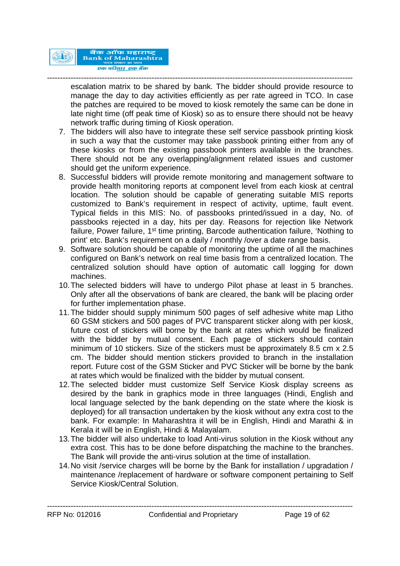

-------------------------------------------------------------------------------------------------------------------- escalation matrix to be shared by bank. The bidder should provide resource to manage the day to day activities efficiently as per rate agreed in TCO. In case the patches are required to be moved to kiosk remotely the same can be done in late night time (off peak time of Kiosk) so as to ensure there should not be heavy network traffic during timing of Kiosk operation.

- 7. The bidders will also have to integrate these self service passbook printing kiosk in such a way that the customer may take passbook printing either from any of these kiosks or from the existing passbook printers available in the branches. There should not be any overlapping/alignment related issues and customer should get the uniform experience.
- 8. Successful bidders will provide remote monitoring and management software to provide health monitoring reports at component level from each kiosk at central location. The solution should be capable of generating suitable MIS reports customized to Bank's requirement in respect of activity, uptime, fault event. Typical fields in this MIS: No. of passbooks printed/issued in a day, No. of passbooks rejected in a day, hits per day. Reasons for rejection like Network failure, Power failure, 1<sup>st</sup> time printing, Barcode authentication failure, 'Nothing to print' etc. Bank's requirement on a daily / monthly /over a date range basis.
- 9. Software solution should be capable of monitoring the uptime of all the machines configured on Bank's network on real time basis from a centralized location. The centralized solution should have option of automatic call logging for down machines.
- 10.The selected bidders will have to undergo Pilot phase at least in 5 branches. Only after all the observations of bank are cleared, the bank will be placing order for further implementation phase.
- 11.The bidder should supply minimum 500 pages of self adhesive white map Litho 60 GSM stickers and 500 pages of PVC transparent sticker along with per kiosk, future cost of stickers will borne by the bank at rates which would be finalized with the bidder by mutual consent. Each page of stickers should contain minimum of 10 stickers. Size of the stickers must be approximately 8.5 cm x 2.5 cm. The bidder should mention stickers provided to branch in the installation report. Future cost of the GSM Sticker and PVC Sticker will be borne by the bank at rates which would be finalized with the bidder by mutual consent.
- 12.The selected bidder must customize Self Service Kiosk display screens as desired by the bank in graphics mode in three languages (Hindi, English and local language selected by the bank depending on the state where the kiosk is deployed) for all transaction undertaken by the kiosk without any extra cost to the bank. For example: In Maharashtra it will be in English, Hindi and Marathi & in Kerala it will be in English, Hindi & Malayalam.
- 13.The bidder will also undertake to load Anti-virus solution in the Kiosk without any extra cost. This has to be done before dispatching the machine to the branches. The Bank will provide the anti-virus solution at the time of installation.
- 14.No visit /service charges will be borne by the Bank for installation / upgradation / maintenance /replacement of hardware or software component pertaining to Self Service Kiosk/Central Solution.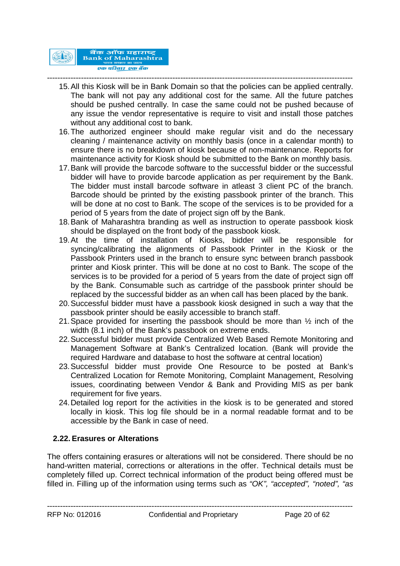

#### --------------------------------------------------------------------------------------------------------------------- 15.All this Kiosk will be in Bank Domain so that the policies can be applied centrally. The bank will not pay any additional cost for the same. All the future patches should be pushed centrally. In case the same could not be pushed because of any issue the vendor representative is require to visit and install those patches without any additional cost to bank.

- 16.The authorized engineer should make regular visit and do the necessary cleaning / maintenance activity on monthly basis (once in a calendar month) to ensure there is no breakdown of kiosk because of non-maintenance. Reports for maintenance activity for Kiosk should be submitted to the Bank on monthly basis.
- 17.Bank will provide the barcode software to the successful bidder or the successful bidder will have to provide barcode application as per requirement by the Bank. The bidder must install barcode software in atleast 3 client PC of the branch. Barcode should be printed by the existing passbook printer of the branch. This will be done at no cost to Bank. The scope of the services is to be provided for a period of 5 years from the date of project sign off by the Bank.
- 18.Bank of Maharashtra branding as well as instruction to operate passbook kiosk should be displayed on the front body of the passbook kiosk.
- 19.At the time of installation of Kiosks, bidder will be responsible for syncing/calibrating the alignments of Passbook Printer in the Kiosk or the Passbook Printers used in the branch to ensure sync between branch passbook printer and Kiosk printer. This will be done at no cost to Bank. The scope of the services is to be provided for a period of 5 years from the date of project sign off by the Bank. Consumable such as cartridge of the passbook printer should be replaced by the successful bidder as an when call has been placed by the bank.
- 20.Successful bidder must have a passbook kiosk designed in such a way that the passbook printer should be easily accessible to branch staff.
- 21.Space provided for inserting the passbook should be more than ½ inch of the width (8.1 inch) of the Bank's passbook on extreme ends.
- 22.Successful bidder must provide Centralized Web Based Remote Monitoring and Management Software at Bank's Centralized location. (Bank will provide the required Hardware and database to host the software at central location)
- 23.Successful bidder must provide One Resource to be posted at Bank's Centralized Location for Remote Monitoring, Complaint Management, Resolving issues, coordinating between Vendor & Bank and Providing MIS as per bank requirement for five years.
- 24.Detailed log report for the activities in the kiosk is to be generated and stored locally in kiosk. This log file should be in a normal readable format and to be accessible by the Bank in case of need.

# **2.22. Erasures or Alterations**

The offers containing erasures or alterations will not be considered. There should be no hand-written material, corrections or alterations in the offer. Technical details must be completely filled up. Correct technical information of the product being offered must be filled in. Filling up of the information using terms such as *"OK", "accepted", "noted", "as*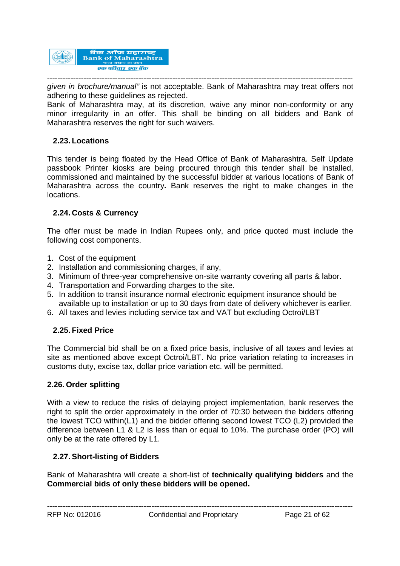

*given in brochure/manual"* is not acceptable. Bank of Maharashtra may treat offers not adhering to these guidelines as rejected.

Bank of Maharashtra may, at its discretion, waive any minor non-conformity or any minor irregularity in an offer. This shall be binding on all bidders and Bank of Maharashtra reserves the right for such waivers.

### **2.23. Locations**

This tender is being floated by the Head Office of Bank of Maharashtra. Self Update passbook Printer kiosks are being procured through this tender shall be installed, commissioned and maintained by the successful bidder at various locations of Bank of Maharashtra across the country**.** Bank reserves the right to make changes in the locations.

# **2.24. Costs & Currency**

The offer must be made in Indian Rupees only, and price quoted must include the following cost components.

- 1. Cost of the equipment
- 2. Installation and commissioning charges, if any,
- 3. Minimum of three-year comprehensive on-site warranty covering all parts & labor.
- 4. Transportation and Forwarding charges to the site.
- 5. In addition to transit insurance normal electronic equipment insurance should be available up to installation or up to 30 days from date of delivery whichever is earlier.
- 6. All taxes and levies including service tax and VAT but excluding Octroi/LBT

### **2.25. Fixed Price**

The Commercial bid shall be on a fixed price basis, inclusive of all taxes and levies at site as mentioned above except Octroi/LBT. No price variation relating to increases in customs duty, excise tax, dollar price variation etc. will be permitted.

#### **2.26. Order splitting**

With a view to reduce the risks of delaying project implementation, bank reserves the right to split the order approximately in the order of 70:30 between the bidders offering the lowest TCO within(L1) and the bidder offering second lowest TCO (L2) provided the difference between L1 & L2 is less than or equal to 10%. The purchase order (PO) will only be at the rate offered by L1.

### **2.27. Short-listing of Bidders**

Bank of Maharashtra will create a short-list of **technically qualifying bidders** and the **Commercial bids of only these bidders will be opened.**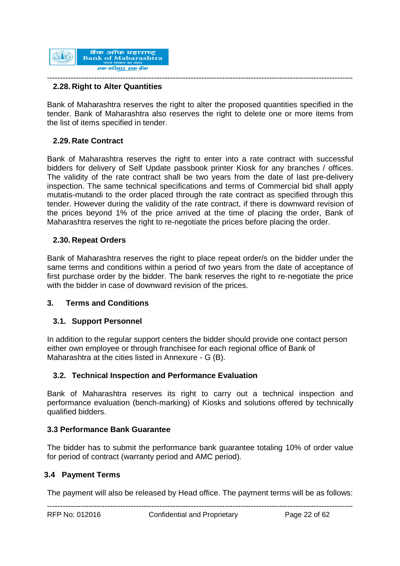

# **2.28. Right to Alter Quantities**

Bank of Maharashtra reserves the right to alter the proposed quantities specified in the tender. Bank of Maharashtra also reserves the right to delete one or more items from the list of items specified in tender.

# **2.29. Rate Contract**

Bank of Maharashtra reserves the right to enter into a rate contract with successful bidders for delivery of Self Update passbook printer Kiosk for any branches / offices. The validity of the rate contract shall be two years from the date of last pre-delivery inspection. The same technical specifications and terms of Commercial bid shall apply mutatis-mutandi to the order placed through the rate contract as specified through this tender. However during the validity of the rate contract, if there is downward revision of the prices beyond 1% of the price arrived at the time of placing the order, Bank of Maharashtra reserves the right to re-negotiate the prices before placing the order.

### **2.30. Repeat Orders**

Bank of Maharashtra reserves the right to place repeat order/s on the bidder under the same terms and conditions within a period of two years from the date of acceptance of first purchase order by the bidder. The bank reserves the right to re-negotiate the price with the bidder in case of downward revision of the prices.

### **3. Terms and Conditions**

### **3.1. Support Personnel**

In addition to the regular support centers the bidder should provide one contact person either own employee or through franchisee for each regional office of Bank of Maharashtra at the cities listed in Annexure - G (B).

### **3.2. Technical Inspection and Performance Evaluation**

Bank of Maharashtra reserves its right to carry out a technical inspection and performance evaluation (bench-marking) of Kiosks and solutions offered by technically qualified bidders.

### **3.3 Performance Bank Guarantee**

The bidder has to submit the performance bank guarantee totaling 10% of order value for period of contract (warranty period and AMC period).

#### **3.4 Payment Terms**

--------------------------------------------------------------------------------------------------------------------- The payment will also be released by Head office. The payment terms will be as follows: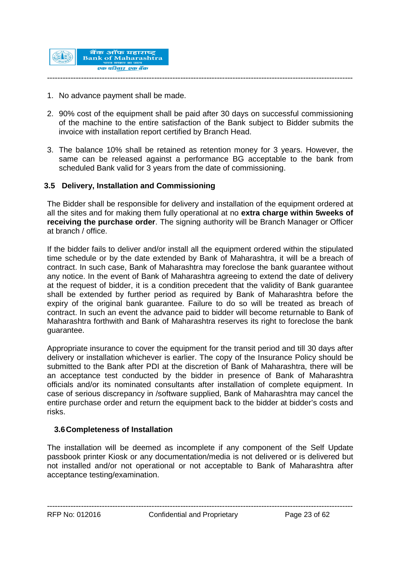

- 1. No advance payment shall be made.
- 2. 90% cost of the equipment shall be paid after 30 days on successful commissioning of the machine to the entire satisfaction of the Bank subject to Bidder submits the invoice with installation report certified by Branch Head.
- 3. The balance 10% shall be retained as retention money for 3 years. However, the same can be released against a performance BG acceptable to the bank from scheduled Bank valid for 3 years from the date of commissioning.

### **3.5 Delivery, Installation and Commissioning**

The Bidder shall be responsible for delivery and installation of the equipment ordered at all the sites and for making them fully operational at no **extra charge within 5weeks of receiving the purchase order**. The signing authority will be Branch Manager or Officer at branch / office.

If the bidder fails to deliver and/or install all the equipment ordered within the stipulated time schedule or by the date extended by Bank of Maharashtra, it will be a breach of contract. In such case, Bank of Maharashtra may foreclose the bank guarantee without any notice. In the event of Bank of Maharashtra agreeing to extend the date of delivery at the request of bidder, it is a condition precedent that the validity of Bank guarantee shall be extended by further period as required by Bank of Maharashtra before the expiry of the original bank guarantee. Failure to do so will be treated as breach of contract. In such an event the advance paid to bidder will become returnable to Bank of Maharashtra forthwith and Bank of Maharashtra reserves its right to foreclose the bank guarantee.

Appropriate insurance to cover the equipment for the transit period and till 30 days after delivery or installation whichever is earlier. The copy of the Insurance Policy should be submitted to the Bank after PDI at the discretion of Bank of Maharashtra, there will be an acceptance test conducted by the bidder in presence of Bank of Maharashtra officials and/or its nominated consultants after installation of complete equipment. In case of serious discrepancy in /software supplied, Bank of Maharashtra may cancel the entire purchase order and return the equipment back to the bidder at bidder's costs and risks.

### **3.6Completeness of Installation**

The installation will be deemed as incomplete if any component of the Self Update passbook printer Kiosk or any documentation/media is not delivered or is delivered but not installed and/or not operational or not acceptable to Bank of Maharashtra after acceptance testing/examination.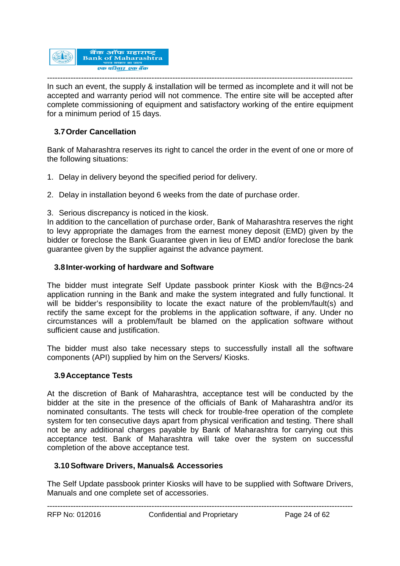

--------------------------------------------------------------------------------------------------------------------- In such an event, the supply & installation will be termed as incomplete and it will not be accepted and warranty period will not commence. The entire site will be accepted after complete commissioning of equipment and satisfactory working of the entire equipment for a minimum period of 15 days.

# **3.7Order Cancellation**

Bank of Maharashtra reserves its right to cancel the order in the event of one or more of the following situations:

- 1. Delay in delivery beyond the specified period for delivery.
- 2. Delay in installation beyond 6 weeks from the date of purchase order.
- 3. Serious discrepancy is noticed in the kiosk.

In addition to the cancellation of purchase order, Bank of Maharashtra reserves the right to levy appropriate the damages from the earnest money deposit (EMD) given by the bidder or foreclose the Bank Guarantee given in lieu of EMD and/or foreclose the bank guarantee given by the supplier against the advance payment.

### **3.8Inter-working of hardware and Software**

The bidder must integrate Self Update passbook printer Kiosk with the B@ncs-24 application running in the Bank and make the system integrated and fully functional. It will be bidder's responsibility to locate the exact nature of the problem/fault(s) and rectify the same except for the problems in the application software, if any. Under no circumstances will a problem/fault be blamed on the application software without sufficient cause and justification.

The bidder must also take necessary steps to successfully install all the software components (API) supplied by him on the Servers/ Kiosks.

#### **3.9Acceptance Tests**

At the discretion of Bank of Maharashtra, acceptance test will be conducted by the bidder at the site in the presence of the officials of Bank of Maharashtra and/or its nominated consultants. The tests will check for trouble-free operation of the complete system for ten consecutive days apart from physical verification and testing. There shall not be any additional charges payable by Bank of Maharashtra for carrying out this acceptance test. Bank of Maharashtra will take over the system on successful completion of the above acceptance test.

### **3.10Software Drivers, Manuals& Accessories**

The Self Update passbook printer Kiosks will have to be supplied with Software Drivers, Manuals and one complete set of accessories.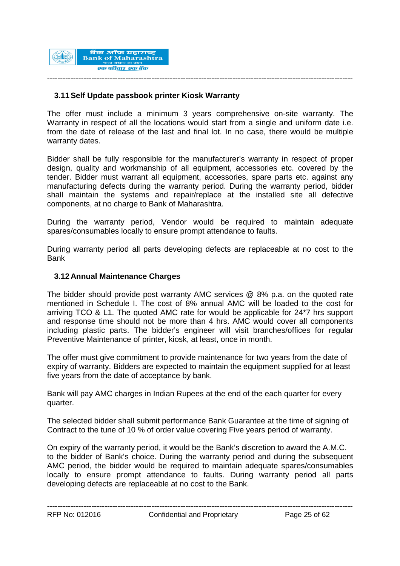

### **3.11Self Update passbook printer Kiosk Warranty**

The offer must include a minimum 3 years comprehensive on-site warranty. The Warranty in respect of all the locations would start from a single and uniform date i.e. from the date of release of the last and final lot. In no case, there would be multiple warranty dates.

Bidder shall be fully responsible for the manufacturer's warranty in respect of proper design, quality and workmanship of all equipment, accessories etc. covered by the tender. Bidder must warrant all equipment, accessories, spare parts etc. against any manufacturing defects during the warranty period. During the warranty period, bidder shall maintain the systems and repair/replace at the installed site all defective components, at no charge to Bank of Maharashtra.

During the warranty period, Vendor would be required to maintain adequate spares/consumables locally to ensure prompt attendance to faults.

During warranty period all parts developing defects are replaceable at no cost to the Bank

### **3.12 Annual Maintenance Charges**

The bidder should provide post warranty AMC services @ 8% p.a. on the quoted rate mentioned in Schedule I. The cost of 8% annual AMC will be loaded to the cost for arriving TCO & L1. The quoted AMC rate for would be applicable for 24\*7 hrs support and response time should not be more than 4 hrs. AMC would cover all components including plastic parts. The bidder's engineer will visit branches/offices for regular Preventive Maintenance of printer, kiosk, at least, once in month.

The offer must give commitment to provide maintenance for two years from the date of expiry of warranty. Bidders are expected to maintain the equipment supplied for at least five years from the date of acceptance by bank.

Bank will pay AMC charges in Indian Rupees at the end of the each quarter for every quarter.

The selected bidder shall submit performance Bank Guarantee at the time of signing of Contract to the tune of 10 % of order value covering Five years period of warranty.

On expiry of the warranty period, it would be the Bank's discretion to award the A.M.C. to the bidder of Bank's choice. During the warranty period and during the subsequent AMC period, the bidder would be required to maintain adequate spares/consumables locally to ensure prompt attendance to faults. During warranty period all parts developing defects are replaceable at no cost to the Bank.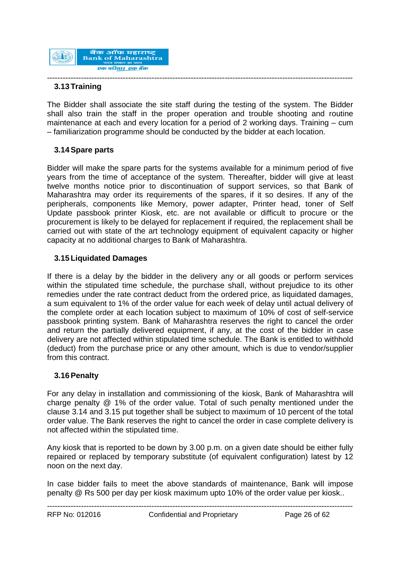

#### --------------------------------------------------------------------------------------------------------------------- **3.13 Training**

The Bidder shall associate the site staff during the testing of the system. The Bidder shall also train the staff in the proper operation and trouble shooting and routine maintenance at each and every location for a period of 2 working days. Training – cum – familiarization programme should be conducted by the bidder at each location.

# **3.14Spare parts**

Bidder will make the spare parts for the systems available for a minimum period of five years from the time of acceptance of the system. Thereafter, bidder will give at least twelve months notice prior to discontinuation of support services, so that Bank of Maharashtra may order its requirements of the spares, if it so desires. If any of the peripherals, components like Memory, power adapter, Printer head, toner of Self Update passbook printer Kiosk, etc. are not available or difficult to procure or the procurement is likely to be delayed for replacement if required, the replacement shall be carried out with state of the art technology equipment of equivalent capacity or higher capacity at no additional charges to Bank of Maharashtra.

### **3.15 Liquidated Damages**

If there is a delay by the bidder in the delivery any or all goods or perform services within the stipulated time schedule, the purchase shall, without prejudice to its other remedies under the rate contract deduct from the ordered price, as liquidated damages, a sum equivalent to 1% of the order value for each week of delay until actual delivery of the complete order at each location subject to maximum of 10% of cost of self-service passbook printing system. Bank of Maharashtra reserves the right to cancel the order and return the partially delivered equipment, if any, at the cost of the bidder in case delivery are not affected within stipulated time schedule. The Bank is entitled to withhold (deduct) from the purchase price or any other amount, which is due to vendor/supplier from this contract.

# **3.16Penalty**

For any delay in installation and commissioning of the kiosk, Bank of Maharashtra will charge penalty @ 1% of the order value. Total of such penalty mentioned under the clause 3.14 and 3.15 put together shall be subject to maximum of 10 percent of the total order value. The Bank reserves the right to cancel the order in case complete delivery is not affected within the stipulated time.

Any kiosk that is reported to be down by 3.00 p.m. on a given date should be either fully repaired or replaced by temporary substitute (of equivalent configuration) latest by 12 noon on the next day.

In case bidder fails to meet the above standards of maintenance, Bank will impose penalty @ Rs 500 per day per kiosk maximum upto 10% of the order value per kiosk..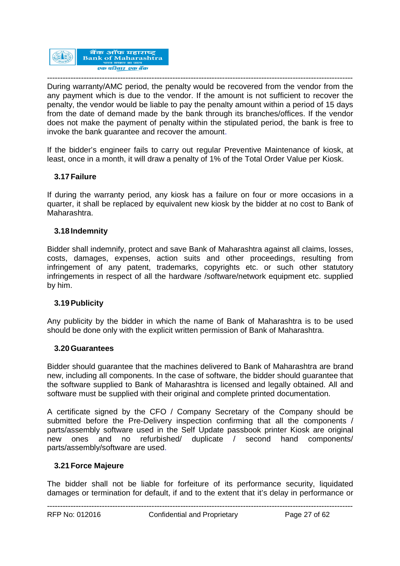

--------------------------------------------------------------------------------------------------------------------- During warranty/AMC period, the penalty would be recovered from the vendor from the any payment which is due to the vendor. If the amount is not sufficient to recover the penalty, the vendor would be liable to pay the penalty amount within a period of 15 days from the date of demand made by the bank through its branches/offices. If the vendor does not make the payment of penalty within the stipulated period, the bank is free to invoke the bank guarantee and recover the amount.

If the bidder's engineer fails to carry out regular Preventive Maintenance of kiosk, at least, once in a month, it will draw a penalty of 1% of the Total Order Value per Kiosk.

### **3.17 Failure**

If during the warranty period, any kiosk has a failure on four or more occasions in a quarter, it shall be replaced by equivalent new kiosk by the bidder at no cost to Bank of Maharashtra.

### **3.18 Indemnity**

Bidder shall indemnify, protect and save Bank of Maharashtra against all claims, losses, costs, damages, expenses, action suits and other proceedings, resulting from infringement of any patent, trademarks, copyrights etc. or such other statutory infringements in respect of all the hardware /software/network equipment etc. supplied by him.

### **3.19Publicity**

Any publicity by the bidder in which the name of Bank of Maharashtra is to be used should be done only with the explicit written permission of Bank of Maharashtra.

### **3.20Guarantees**

Bidder should guarantee that the machines delivered to Bank of Maharashtra are brand new, including all components. In the case of software, the bidder should guarantee that the software supplied to Bank of Maharashtra is licensed and legally obtained. All and software must be supplied with their original and complete printed documentation.

A certificate signed by the CFO / Company Secretary of the Company should be submitted before the Pre-Delivery inspection confirming that all the components / parts/assembly software used in the Self Update passbook printer Kiosk are original new ones and no refurbished/ duplicate / second hand components/ parts/assembly/software are used.

### **3.21 Force Majeure**

The bidder shall not be liable for forfeiture of its performance security, liquidated damages or termination for default, if and to the extent that it's delay in performance or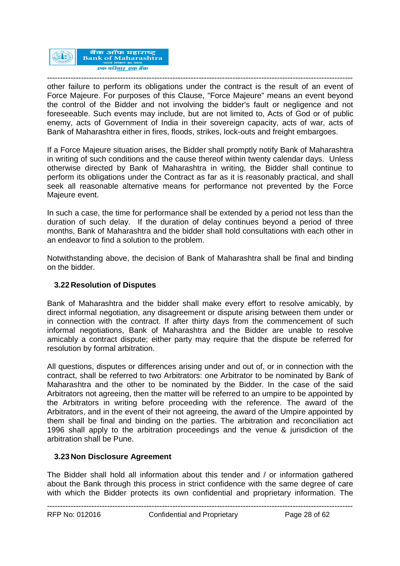

-------------------------------------------------------------------------------------------------------------------- other failure to perform its obligations under the contract is the result of an event of Force Majeure. For purposes of this Clause, "Force Majeure" means an event beyond the control of the Bidder and not involving the bidder's fault or negligence and not foreseeable. Such events may include, but are not limited to, Acts of God or of public enemy, acts of Government of India in their sovereign capacity, acts of war, acts of Bank of Maharashtra either in fires, floods, strikes, lock-outs and freight embargoes.

If a Force Majeure situation arises, the Bidder shall promptly notify Bank of Maharashtra in writing of such conditions and the cause thereof within twenty calendar days. Unless otherwise directed by Bank of Maharashtra in writing, the Bidder shall continue to perform its obligations under the Contract as far as it is reasonably practical, and shall seek all reasonable alternative means for performance not prevented by the Force Majeure event.

In such a case, the time for performance shall be extended by a period not less than the duration of such delay. If the duration of delay continues beyond a period of three months, Bank of Maharashtra and the bidder shall hold consultations with each other in an endeavor to find a solution to the problem.

Notwithstanding above, the decision of Bank of Maharashtra shall be final and binding on the bidder.

### **3.22 Resolution of Disputes**

Bank of Maharashtra and the bidder shall make every effort to resolve amicably, by direct informal negotiation, any disagreement or dispute arising between them under or in connection with the contract. If after thirty days from the commencement of such informal negotiations, Bank of Maharashtra and the Bidder are unable to resolve amicably a contract dispute; either party may require that the dispute be referred for resolution by formal arbitration.

All questions, disputes or differences arising under and out of, or in connection with the contract, shall be referred to two Arbitrators: one Arbitrator to be nominated by Bank of Maharashtra and the other to be nominated by the Bidder. In the case of the said Arbitrators not agreeing, then the matter will be referred to an umpire to be appointed by the Arbitrators in writing before proceeding with the reference. The award of the Arbitrators, and in the event of their not agreeing, the award of the Umpire appointed by them shall be final and binding on the parties. The arbitration and reconciliation act 1996 shall apply to the arbitration proceedings and the venue & jurisdiction of the arbitration shall be Pune.

### **3.23 Non Disclosure Agreement**

The Bidder shall hold all information about this tender and / or information gathered about the Bank through this process in strict confidence with the same degree of care with which the Bidder protects its own confidential and proprietary information. The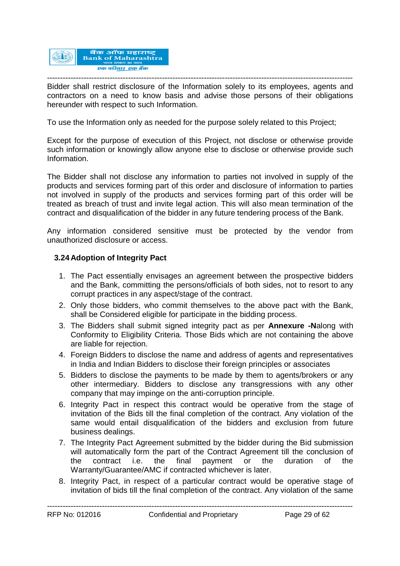

--------------------------------------------------------------------------------------------------------------------- Bidder shall restrict disclosure of the Information solely to its employees, agents and contractors on a need to know basis and advise those persons of their obligations hereunder with respect to such Information.

To use the Information only as needed for the purpose solely related to this Project;

Except for the purpose of execution of this Project, not disclose or otherwise provide such information or knowingly allow anyone else to disclose or otherwise provide such Information.

The Bidder shall not disclose any information to parties not involved in supply of the products and services forming part of this order and disclosure of information to parties not involved in supply of the products and services forming part of this order will be treated as breach of trust and invite legal action. This will also mean termination of the contract and disqualification of the bidder in any future tendering process of the Bank.

Any information considered sensitive must be protected by the vendor from unauthorized disclosure or access.

### **3.24 Adoption of Integrity Pact**

- 1. The Pact essentially envisages an agreement between the prospective bidders and the Bank, committing the persons/officials of both sides, not to resort to any corrupt practices in any aspect/stage of the contract.
- 2. Only those bidders, who commit themselves to the above pact with the Bank, shall be Considered eligible for participate in the bidding process.
- 3. The Bidders shall submit signed integrity pact as per **Annexure -N**along with Conformity to Eligibility Criteria. Those Bids which are not containing the above are liable for rejection.
- 4. Foreign Bidders to disclose the name and address of agents and representatives in India and Indian Bidders to disclose their foreign principles or associates
- 5. Bidders to disclose the payments to be made by them to agents/brokers or any other intermediary. Bidders to disclose any transgressions with any other company that may impinge on the anti-corruption principle.
- 6. Integrity Pact in respect this contract would be operative from the stage of invitation of the Bids till the final completion of the contract. Any violation of the same would entail disqualification of the bidders and exclusion from future business dealings.
- 7. The Integrity Pact Agreement submitted by the bidder during the Bid submission will automatically form the part of the Contract Agreement till the conclusion of the contract i.e. the final payment or the duration of the Warranty/Guarantee/AMC if contracted whichever is later.
- 8. Integrity Pact, in respect of a particular contract would be operative stage of invitation of bids till the final completion of the contract. Any violation of the same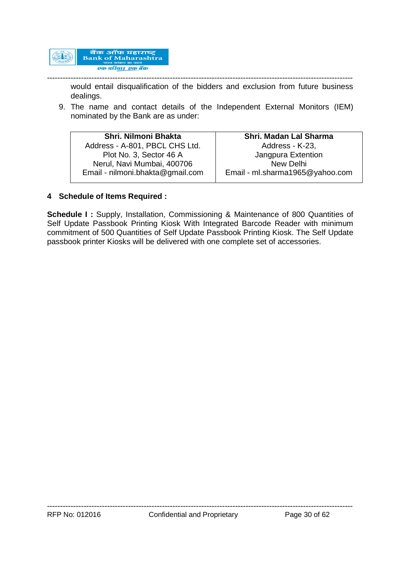

-------------------------------------------------------------------------------------------------------------------- would entail disqualification of the bidders and exclusion from future business dealings.

9. The name and contact details of the Independent External Monitors (IEM) nominated by the Bank are as under:

| Shri, Nilmoni Bhakta             | Shri. Madan Lal Sharma          |
|----------------------------------|---------------------------------|
| Address - A-801, PBCL CHS Ltd.   | Address - K-23,                 |
| Plot No. 3, Sector 46 A          | Jangpura Extention              |
| Nerul, Navi Mumbai, 400706       | New Delhi                       |
| Email - nilmoni.bhakta@gmail.com | Email - ml.sharma1965@yahoo.com |
|                                  |                                 |

### **4 Schedule of Items Required :**

**Schedule I :** Supply, Installation, Commissioning & Maintenance of 800 Quantities of Self Update Passbook Printing Kiosk With Integrated Barcode Reader with minimum commitment of 500 Quantities of Self Update Passbook Printing Kiosk. The Self Update passbook printer Kiosks will be delivered with one complete set of accessories.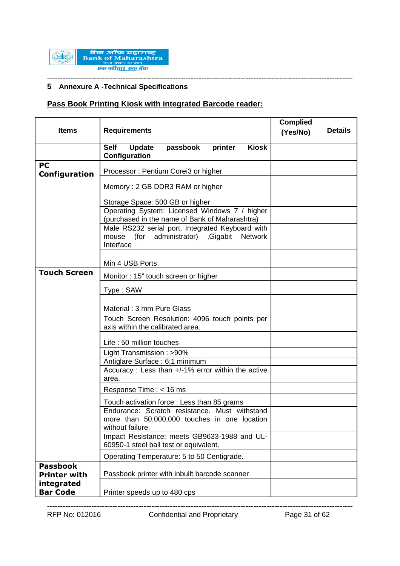

# **5 Annexure A -Technical Specifications**

# **Pass Book Printing Kiosk with integrated Barcode reader:**

| <b>Items</b>                           | <b>Requirements</b>                                                                                                     | <b>Complied</b><br>(Yes/No) | <b>Details</b> |
|----------------------------------------|-------------------------------------------------------------------------------------------------------------------------|-----------------------------|----------------|
|                                        | <b>Update</b><br><b>Self</b><br>passbook<br><b>Kiosk</b><br>printer<br>Configuration                                    |                             |                |
| PC<br>Configuration                    | Processor: Pentium Corei3 or higher                                                                                     |                             |                |
|                                        | Memory: 2 GB DDR3 RAM or higher                                                                                         |                             |                |
|                                        | Storage Space: 500 GB or higher                                                                                         |                             |                |
|                                        | Operating System: Licensed Windows 7 / higher<br>(purchased in the name of Bank of Maharashtra)                         |                             |                |
|                                        | Male RS232 serial port, Integrated Keyboard with<br>(for administrator) Gigabit<br>mouse<br><b>Network</b><br>Interface |                             |                |
|                                        | Min 4 USB Ports                                                                                                         |                             |                |
| <b>Touch Screen</b>                    | Monitor: 15" touch screen or higher                                                                                     |                             |                |
|                                        | Type: SAW                                                                                                               |                             |                |
|                                        | Material: 3 mm Pure Glass                                                                                               |                             |                |
|                                        | Touch Screen Resolution: 4096 touch points per<br>axis within the calibrated area.                                      |                             |                |
|                                        | Life: 50 million touches                                                                                                |                             |                |
|                                        | Light Transmission: >90%                                                                                                |                             |                |
|                                        | Antiglare Surface: 6:1 minimum                                                                                          |                             |                |
|                                        | Accuracy: Less than +/-1% error within the active<br>area.                                                              |                             |                |
|                                        | Response Time : < 16 ms                                                                                                 |                             |                |
|                                        | Touch activation force : Less than 85 grams                                                                             |                             |                |
|                                        | Endurance: Scratch resistance. Must withstand<br>more than 50,000,000 touches in one location<br>without failure.       |                             |                |
|                                        | Impact Resistance: meets GB9633-1988 and UL-<br>60950-1 steel ball test or equivalent.                                  |                             |                |
|                                        | Operating Temperature: 5 to 50 Centigrade.                                                                              |                             |                |
| <b>Passbook</b><br><b>Printer with</b> | Passbook printer with inbuilt barcode scanner                                                                           |                             |                |
| integrated<br><b>Bar Code</b>          | Printer speeds up to 480 cps                                                                                            |                             |                |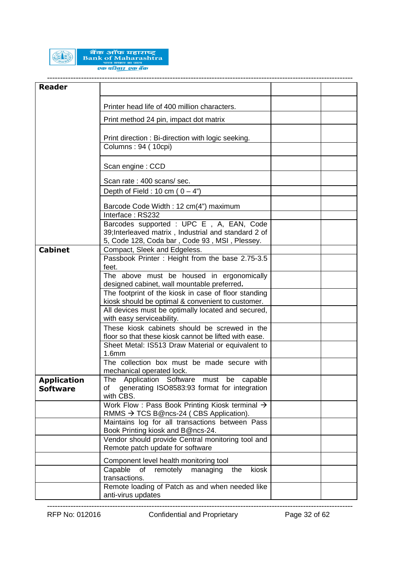

# बैंक ऑफ महाराष्ट्र<br>Bank of Maharashtra एक परिवार एक बैंक

--------------------------------------------------------------------------------------------------------------------- **Reader** Printer head life of 400 million characters. Print method 24 pin, impact dot matrix Print direction : Bi-direction with logic seeking. Columns : 94 ( 10cpi) Scan engine : CCD Scan rate : 400 scans/ sec. Depth of Field : 10 cm ( $0 - 4$ ") Barcode Code Width : 12 cm(4") maximum Interface : RS232 Barcodes supported : UPC E , A, EAN, Code 39;Interleaved matrix , Industrial and standard 2 of 5, Code 128, Coda bar , Code 93 , MSI , Plessey. **Cabinet** Compact, Sleek and Edgeless. Passbook Printer : Height from the base 2.75-3.5 feet. The above must be housed in ergonomically designed cabinet, wall mountable preferred**.** The footprint of the kiosk in case of floor standing kiosk should be optimal & convenient to customer. All devices must be optimally located and secured, with easy serviceability. These kiosk cabinets should be screwed in the floor so that these kiosk cannot be lifted with ease. Sheet Metal: IS513 Draw Material or equivalent to 1.6mm The collection box must be made secure with mechanical operated lock. **Application Software** The Application Software must be capable of generating ISO8583:93 format for integration with CBS. Work Flow : Pass Book Printing Kiosk terminal  $\rightarrow$ RMMS  $\rightarrow$  TCS B@ncs-24 (CBS Application). Maintains log for all transactions between Pass Book Printing kiosk and B@ncs-24. Vendor should provide Central monitoring tool and Remote patch update for software Component level health monitoring tool Capable of remotely managing the kiosk transactions. Remote loading of Patch as and when needed like anti-virus updates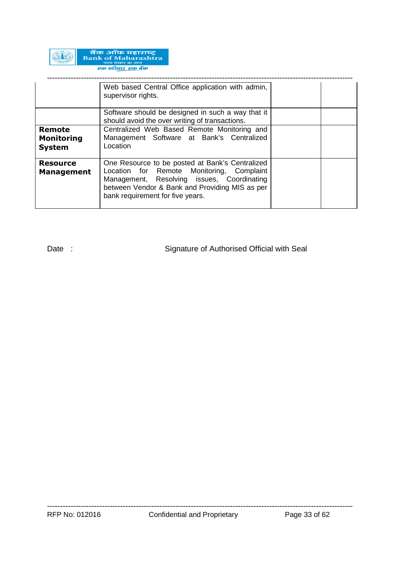

|                                              | Web based Central Office application with admin,<br>supervisor rights.                                                                                                                                                           |  |
|----------------------------------------------|----------------------------------------------------------------------------------------------------------------------------------------------------------------------------------------------------------------------------------|--|
|                                              | Software should be designed in such a way that it<br>should avoid the over writing of transactions.                                                                                                                              |  |
| Remote<br><b>Monitoring</b><br><b>System</b> | Centralized Web Based Remote Monitoring and<br>Management Software at Bank's Centralized<br>Location                                                                                                                             |  |
| <b>Resource</b><br><b>Management</b>         | One Resource to be posted at Bank's Centralized<br>Location for Remote Monitoring, Complaint<br>Management, Resolving issues, Coordinating<br>between Vendor & Bank and Providing MIS as per<br>bank requirement for five years. |  |

Date : Signature of Authorised Official with Seal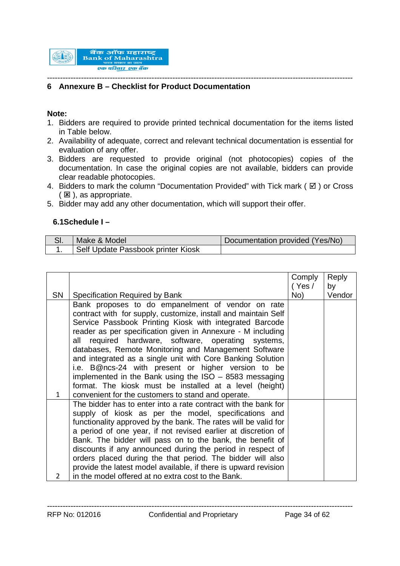

#### --------------------------------------------------------------------------------------------------------------------- **6 Annexure B – Checklist for Product Documentation**

### **Note:**

- 1. Bidders are required to provide printed technical documentation for the items listed in Table below.
- 2. Availability of adequate, correct and relevant technical documentation is essential for evaluation of any offer.
- 3. Bidders are requested to provide original (not photocopies) copies of the documentation. In case the original copies are not available, bidders can provide clear readable photocopies.
- 4. Bidders to mark the column "Documentation Provided" with Tick mark ( $\boxtimes$ ) or Cross  $(E)$ , as appropriate.
- 5. Bidder may add any other documentation, which will support their offer.

### **6.1Schedule I –**

| Make & Model                       | Documentation provided (Yes/No) |
|------------------------------------|---------------------------------|
| Self Update Passbook printer Kiosk |                                 |

|              |                                                                                                                          | Comply | Reply  |
|--------------|--------------------------------------------------------------------------------------------------------------------------|--------|--------|
|              |                                                                                                                          | (Yes / | by     |
| <b>SN</b>    | Specification Required by Bank                                                                                           | No)    | Vendor |
|              | Bank proposes to do empanelment of vendor on rate                                                                        |        |        |
|              | contract with for supply, customize, install and maintain Self                                                           |        |        |
|              | Service Passbook Printing Kiosk with integrated Barcode                                                                  |        |        |
|              | reader as per specification given in Annexure - M including                                                              |        |        |
|              | all required hardware, software, operating systems,                                                                      |        |        |
|              | databases, Remote Monitoring and Management Software                                                                     |        |        |
|              | and integrated as a single unit with Core Banking Solution                                                               |        |        |
|              | i.e. B@ncs-24 with present or higher version to be                                                                       |        |        |
|              | implemented in the Bank using the $ISO - 8583$ messaging                                                                 |        |        |
|              | format. The kiosk must be installed at a level (height)                                                                  |        |        |
| $\mathbf{1}$ | convenient for the customers to stand and operate.                                                                       |        |        |
|              | The bidder has to enter into a rate contract with the bank for                                                           |        |        |
|              | supply of kiosk as per the model, specifications and                                                                     |        |        |
|              | functionality approved by the bank. The rates will be valid for                                                          |        |        |
|              | a period of one year, if not revised earlier at discretion of                                                            |        |        |
|              | Bank. The bidder will pass on to the bank, the benefit of                                                                |        |        |
|              | discounts if any announced during the period in respect of<br>orders placed during the that period. The bidder will also |        |        |
|              | provide the latest model available, if there is upward revision                                                          |        |        |
| 2            | in the model offered at no extra cost to the Bank.                                                                       |        |        |
|              |                                                                                                                          |        |        |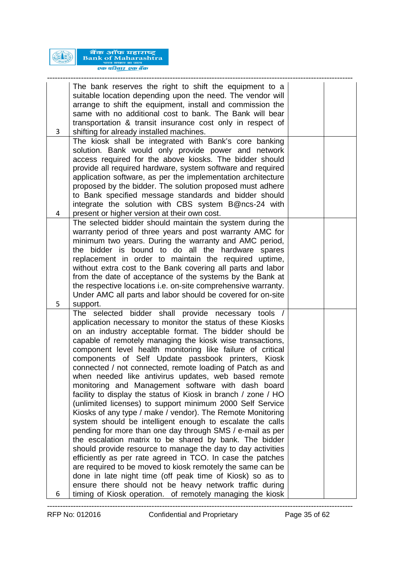

बैंक ऑफ महाराष्ट्र<br>Bank of Maharashtra एक परिवार एक बैंक

| 3      | The bank reserves the right to shift the equipment to a<br>suitable location depending upon the need. The vendor will<br>arrange to shift the equipment, install and commission the<br>same with no additional cost to bank. The Bank will bear<br>transportation & transit insurance cost only in respect of<br>shifting for already installed machines.                                                                                                                                                                                                                                                                                                                                                                                                                                                                                                                                                                                                                                                                                                                                                                                                                                                                                   |  |
|--------|---------------------------------------------------------------------------------------------------------------------------------------------------------------------------------------------------------------------------------------------------------------------------------------------------------------------------------------------------------------------------------------------------------------------------------------------------------------------------------------------------------------------------------------------------------------------------------------------------------------------------------------------------------------------------------------------------------------------------------------------------------------------------------------------------------------------------------------------------------------------------------------------------------------------------------------------------------------------------------------------------------------------------------------------------------------------------------------------------------------------------------------------------------------------------------------------------------------------------------------------|--|
|        | The kiosk shall be integrated with Bank's core banking<br>solution. Bank would only provide power and network<br>access required for the above kiosks. The bidder should<br>provide all required hardware, system software and required<br>application software, as per the implementation architecture<br>proposed by the bidder. The solution proposed must adhere<br>to Bank specified message standards and bidder should<br>integrate the solution with CBS system B@ncs-24 with                                                                                                                                                                                                                                                                                                                                                                                                                                                                                                                                                                                                                                                                                                                                                       |  |
| 4<br>5 | present or higher version at their own cost.<br>The selected bidder should maintain the system during the<br>warranty period of three years and post warranty AMC for<br>minimum two years. During the warranty and AMC period,<br>the bidder is bound to do all the hardware spares<br>replacement in order to maintain the required uptime,<br>without extra cost to the Bank covering all parts and labor<br>from the date of acceptance of the systems by the Bank at<br>the respective locations i.e. on-site comprehensive warranty.<br>Under AMC all parts and labor should be covered for on-site<br>support.                                                                                                                                                                                                                                                                                                                                                                                                                                                                                                                                                                                                                       |  |
|        | The selected bidder shall provide necessary tools /<br>application necessary to monitor the status of these Kiosks<br>on an industry acceptable format. The bidder should be<br>capable of remotely managing the kiosk wise transactions,<br>component level health monitoring like failure of critical<br>components of Self Update passbook printers, Kiosk<br>connected / not connected, remote loading of Patch as and<br>when needed like antivirus updates, web based remote<br>monitoring and Management software with dash board<br>facility to display the status of Kiosk in branch / zone / HO<br>(unlimited licenses) to support minimum 2000 Self Service<br>Kiosks of any type / make / vendor). The Remote Monitoring<br>system should be intelligent enough to escalate the calls<br>pending for more than one day through SMS / e-mail as per<br>the escalation matrix to be shared by bank. The bidder<br>should provide resource to manage the day to day activities<br>efficiently as per rate agreed in TCO. In case the patches<br>are required to be moved to kiosk remotely the same can be<br>done in late night time (off peak time of Kiosk) so as to<br>ensure there should not be heavy network traffic during |  |
| 6      | timing of Kiosk operation. of remotely managing the kiosk                                                                                                                                                                                                                                                                                                                                                                                                                                                                                                                                                                                                                                                                                                                                                                                                                                                                                                                                                                                                                                                                                                                                                                                   |  |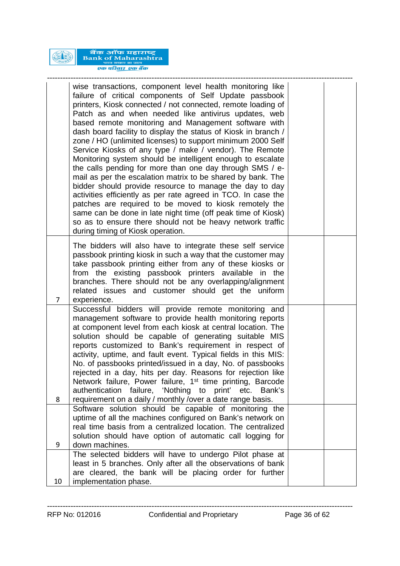

बैंक ऑफ महाराष्ट्र<br>Bank of Maharashtra एक परिवार एक बैंक

|    | wise transactions, component level health monitoring like<br>failure of critical components of Self Update passbook<br>printers, Kiosk connected / not connected, remote loading of<br>Patch as and when needed like antivirus updates, web<br>based remote monitoring and Management software with<br>dash board facility to display the status of Kiosk in branch /<br>zone / HO (unlimited licenses) to support minimum 2000 Self<br>Service Kiosks of any type / make / vendor). The Remote<br>Monitoring system should be intelligent enough to escalate<br>the calls pending for more than one day through SMS / e-<br>mail as per the escalation matrix to be shared by bank. The<br>bidder should provide resource to manage the day to day<br>activities efficiently as per rate agreed in TCO. In case the<br>patches are required to be moved to kiosk remotely the<br>same can be done in late night time (off peak time of Kiosk)<br>so as to ensure there should not be heavy network traffic<br>during timing of Kiosk operation. |  |
|----|--------------------------------------------------------------------------------------------------------------------------------------------------------------------------------------------------------------------------------------------------------------------------------------------------------------------------------------------------------------------------------------------------------------------------------------------------------------------------------------------------------------------------------------------------------------------------------------------------------------------------------------------------------------------------------------------------------------------------------------------------------------------------------------------------------------------------------------------------------------------------------------------------------------------------------------------------------------------------------------------------------------------------------------------------|--|
| 7  | The bidders will also have to integrate these self service<br>passbook printing kiosk in such a way that the customer may<br>take passbook printing either from any of these kiosks or<br>from the existing passbook printers available in the<br>branches. There should not be any overlapping/alignment<br>related issues and customer should get the uniform<br>experience.                                                                                                                                                                                                                                                                                                                                                                                                                                                                                                                                                                                                                                                                   |  |
| 8  | Successful bidders will provide remote monitoring and<br>management software to provide health monitoring reports<br>at component level from each kiosk at central location. The<br>solution should be capable of generating suitable MIS<br>reports customized to Bank's requirement in respect of<br>activity, uptime, and fault event. Typical fields in this MIS:<br>No. of passbooks printed/issued in a day, No. of passbooks<br>rejected in a day, hits per day. Reasons for rejection like<br>Network failure, Power failure, 1 <sup>st</sup> time printing, Barcode<br>authentication failure, 'Nothing to print' etc. Bank's<br>requirement on a daily / monthly /over a date range basis.                                                                                                                                                                                                                                                                                                                                             |  |
| 9  | Software solution should be capable of monitoring the<br>uptime of all the machines configured on Bank's network on<br>real time basis from a centralized location. The centralized<br>solution should have option of automatic call logging for<br>down machines.                                                                                                                                                                                                                                                                                                                                                                                                                                                                                                                                                                                                                                                                                                                                                                               |  |
|    | The selected bidders will have to undergo Pilot phase at<br>least in 5 branches. Only after all the observations of bank<br>are cleared, the bank will be placing order for further                                                                                                                                                                                                                                                                                                                                                                                                                                                                                                                                                                                                                                                                                                                                                                                                                                                              |  |
| 10 | implementation phase.                                                                                                                                                                                                                                                                                                                                                                                                                                                                                                                                                                                                                                                                                                                                                                                                                                                                                                                                                                                                                            |  |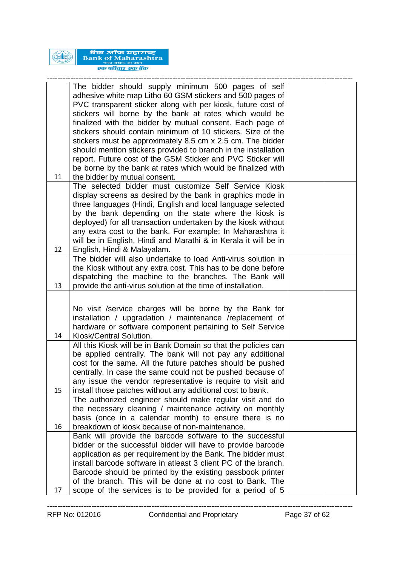

| 11 | The bidder should supply minimum 500 pages of self<br>adhesive white map Litho 60 GSM stickers and 500 pages of<br>PVC transparent sticker along with per kiosk, future cost of<br>stickers will borne by the bank at rates which would be<br>finalized with the bidder by mutual consent. Each page of<br>stickers should contain minimum of 10 stickers. Size of the<br>stickers must be approximately 8.5 cm x 2.5 cm. The bidder<br>should mention stickers provided to branch in the installation<br>report. Future cost of the GSM Sticker and PVC Sticker will<br>be borne by the bank at rates which would be finalized with<br>the bidder by mutual consent. |  |
|----|-----------------------------------------------------------------------------------------------------------------------------------------------------------------------------------------------------------------------------------------------------------------------------------------------------------------------------------------------------------------------------------------------------------------------------------------------------------------------------------------------------------------------------------------------------------------------------------------------------------------------------------------------------------------------|--|
|    | The selected bidder must customize Self Service Kiosk                                                                                                                                                                                                                                                                                                                                                                                                                                                                                                                                                                                                                 |  |
|    | display screens as desired by the bank in graphics mode in                                                                                                                                                                                                                                                                                                                                                                                                                                                                                                                                                                                                            |  |
|    | three languages (Hindi, English and local language selected                                                                                                                                                                                                                                                                                                                                                                                                                                                                                                                                                                                                           |  |
|    | by the bank depending on the state where the kiosk is<br>deployed) for all transaction undertaken by the kiosk without                                                                                                                                                                                                                                                                                                                                                                                                                                                                                                                                                |  |
|    | any extra cost to the bank. For example: In Maharashtra it                                                                                                                                                                                                                                                                                                                                                                                                                                                                                                                                                                                                            |  |
|    | will be in English, Hindi and Marathi & in Kerala it will be in                                                                                                                                                                                                                                                                                                                                                                                                                                                                                                                                                                                                       |  |
| 12 | English, Hindi & Malayalam.                                                                                                                                                                                                                                                                                                                                                                                                                                                                                                                                                                                                                                           |  |
|    | The bidder will also undertake to load Anti-virus solution in                                                                                                                                                                                                                                                                                                                                                                                                                                                                                                                                                                                                         |  |
|    | the Kiosk without any extra cost. This has to be done before<br>dispatching the machine to the branches. The Bank will                                                                                                                                                                                                                                                                                                                                                                                                                                                                                                                                                |  |
| 13 | provide the anti-virus solution at the time of installation.                                                                                                                                                                                                                                                                                                                                                                                                                                                                                                                                                                                                          |  |
|    |                                                                                                                                                                                                                                                                                                                                                                                                                                                                                                                                                                                                                                                                       |  |
|    | No visit /service charges will be borne by the Bank for                                                                                                                                                                                                                                                                                                                                                                                                                                                                                                                                                                                                               |  |
|    | installation / upgradation / maintenance /replacement of                                                                                                                                                                                                                                                                                                                                                                                                                                                                                                                                                                                                              |  |
|    | hardware or software component pertaining to Self Service                                                                                                                                                                                                                                                                                                                                                                                                                                                                                                                                                                                                             |  |
| 14 | Kiosk/Central Solution.                                                                                                                                                                                                                                                                                                                                                                                                                                                                                                                                                                                                                                               |  |
|    | All this Kiosk will be in Bank Domain so that the policies can                                                                                                                                                                                                                                                                                                                                                                                                                                                                                                                                                                                                        |  |
|    | be applied centrally. The bank will not pay any additional<br>cost for the same. All the future patches should be pushed                                                                                                                                                                                                                                                                                                                                                                                                                                                                                                                                              |  |
|    | centrally. In case the same could not be pushed because of                                                                                                                                                                                                                                                                                                                                                                                                                                                                                                                                                                                                            |  |
|    | any issue the vendor representative is require to visit and                                                                                                                                                                                                                                                                                                                                                                                                                                                                                                                                                                                                           |  |
| 15 | install those patches without any additional cost to bank.                                                                                                                                                                                                                                                                                                                                                                                                                                                                                                                                                                                                            |  |
|    | The authorized engineer should make regular visit and do                                                                                                                                                                                                                                                                                                                                                                                                                                                                                                                                                                                                              |  |
|    | the necessary cleaning / maintenance activity on monthly<br>basis (once in a calendar month) to ensure there is no                                                                                                                                                                                                                                                                                                                                                                                                                                                                                                                                                    |  |
| 16 | breakdown of kiosk because of non-maintenance.                                                                                                                                                                                                                                                                                                                                                                                                                                                                                                                                                                                                                        |  |
|    | Bank will provide the barcode software to the successful                                                                                                                                                                                                                                                                                                                                                                                                                                                                                                                                                                                                              |  |
|    | bidder or the successful bidder will have to provide barcode                                                                                                                                                                                                                                                                                                                                                                                                                                                                                                                                                                                                          |  |
|    | application as per requirement by the Bank. The bidder must                                                                                                                                                                                                                                                                                                                                                                                                                                                                                                                                                                                                           |  |
|    | install barcode software in atleast 3 client PC of the branch.                                                                                                                                                                                                                                                                                                                                                                                                                                                                                                                                                                                                        |  |
|    | Barcode should be printed by the existing passbook printer<br>of the branch. This will be done at no cost to Bank. The                                                                                                                                                                                                                                                                                                                                                                                                                                                                                                                                                |  |
| 17 | scope of the services is to be provided for a period of 5                                                                                                                                                                                                                                                                                                                                                                                                                                                                                                                                                                                                             |  |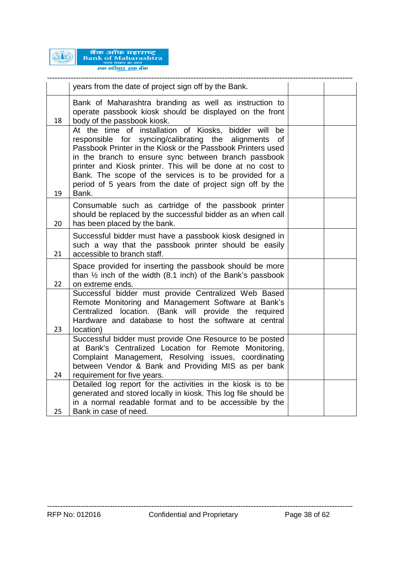

|    | years from the date of project sign off by the Bank.                                                                                                                                                                                                                                                                                                                                                                                        |  |
|----|---------------------------------------------------------------------------------------------------------------------------------------------------------------------------------------------------------------------------------------------------------------------------------------------------------------------------------------------------------------------------------------------------------------------------------------------|--|
| 18 | Bank of Maharashtra branding as well as instruction to<br>operate passbook kiosk should be displayed on the front<br>body of the passbook kiosk.                                                                                                                                                                                                                                                                                            |  |
| 19 | At the time of installation of Kiosks, bidder will<br>be<br>responsible for syncing/calibrating the alignments<br>0f<br>Passbook Printer in the Kiosk or the Passbook Printers used<br>in the branch to ensure sync between branch passbook<br>printer and Kiosk printer. This will be done at no cost to<br>Bank. The scope of the services is to be provided for a<br>period of 5 years from the date of project sign off by the<br>Bank. |  |
| 20 | Consumable such as cartridge of the passbook printer<br>should be replaced by the successful bidder as an when call<br>has been placed by the bank.                                                                                                                                                                                                                                                                                         |  |
| 21 | Successful bidder must have a passbook kiosk designed in<br>such a way that the passbook printer should be easily<br>accessible to branch staff.                                                                                                                                                                                                                                                                                            |  |
| 22 | Space provided for inserting the passbook should be more<br>than $\frac{1}{2}$ inch of the width (8.1 inch) of the Bank's passbook<br>on extreme ends.                                                                                                                                                                                                                                                                                      |  |
| 23 | Successful bidder must provide Centralized Web Based<br>Remote Monitoring and Management Software at Bank's<br>Centralized location. (Bank will provide the required<br>Hardware and database to host the software at central<br>location)                                                                                                                                                                                                  |  |
| 24 | Successful bidder must provide One Resource to be posted<br>at Bank's Centralized Location for Remote Monitoring,<br>Complaint Management, Resolving issues, coordinating<br>between Vendor & Bank and Providing MIS as per bank<br>requirement for five years.                                                                                                                                                                             |  |
| 25 | Detailed log report for the activities in the kiosk is to be<br>generated and stored locally in kiosk. This log file should be<br>in a normal readable format and to be accessible by the<br>Bank in case of need.                                                                                                                                                                                                                          |  |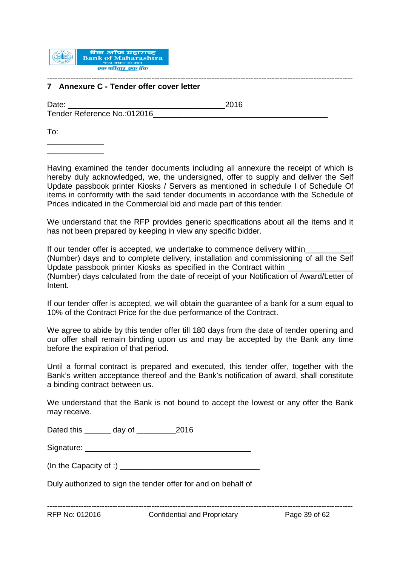

#### --------------------------------------------------------------------------------------------------------------------- **7 Annexure C - Tender offer cover letter**

Date: 2016 Tender Reference No.:012016

To:

\_\_\_\_\_\_\_\_\_\_\_\_\_ \_\_\_\_\_\_\_\_\_\_\_\_\_

Having examined the tender documents including all annexure the receipt of which is hereby duly acknowledged, we, the undersigned, offer to supply and deliver the Self Update passbook printer Kiosks / Servers as mentioned in schedule I of Schedule Of items in conformity with the said tender documents in accordance with the Schedule of Prices indicated in the Commercial bid and made part of this tender.

We understand that the RFP provides generic specifications about all the items and it has not been prepared by keeping in view any specific bidder.

If our tender offer is accepted, we undertake to commence delivery within (Number) days and to complete delivery, installation and commissioning of all the Self Update passbook printer Kiosks as specified in the Contract within \_\_\_\_\_\_\_\_\_\_\_\_\_\_\_ (Number) days calculated from the date of receipt of your Notification of Award/Letter of Intent.

If our tender offer is accepted, we will obtain the guarantee of a bank for a sum equal to 10% of the Contract Price for the due performance of the Contract.

We agree to abide by this tender offer till 180 days from the date of tender opening and our offer shall remain binding upon us and may be accepted by the Bank any time before the expiration of that period.

Until a formal contract is prepared and executed, this tender offer, together with the Bank's written acceptance thereof and the Bank's notification of award, shall constitute a binding contract between us.

We understand that the Bank is not bound to accept the lowest or any offer the Bank may receive.

Dated this day of 2016

Signature: \_\_\_\_\_\_\_\_\_\_\_\_\_\_\_\_\_\_\_\_\_\_\_\_\_\_\_\_\_\_\_\_\_\_\_\_\_\_

(In the Capacity of :) \_\_\_\_\_\_\_\_\_\_\_\_\_\_\_\_\_\_\_\_\_\_\_\_\_\_\_\_\_\_\_\_

Duly authorized to sign the tender offer for and on behalf of

---------------------------------------------------------------------------------------------------------------------

RFP No: 012016 Confidential and Proprietary Page 39 of 62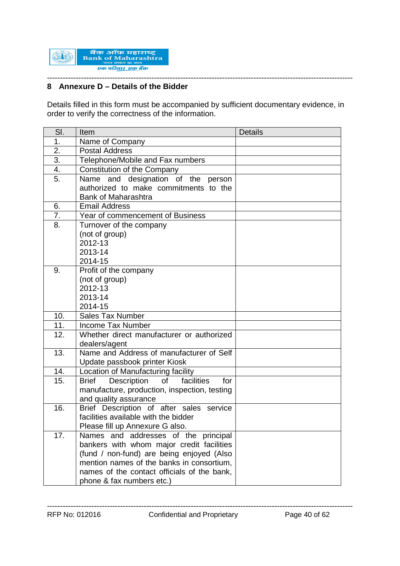

#### --------------------------------------------------------------------------------------------------------------------- **8 Annexure D – Details of the Bidder**

Details filled in this form must be accompanied by sufficient documentary evidence, in order to verify the correctness of the information.

| SI. | Item                                                   | <b>Details</b> |
|-----|--------------------------------------------------------|----------------|
| 1.  | Name of Company                                        |                |
| 2.  | <b>Postal Address</b>                                  |                |
| 3.  | Telephone/Mobile and Fax numbers                       |                |
| 4.  | Constitution of the Company                            |                |
| 5.  | Name and designation of the person                     |                |
|     | authorized to make commitments to the                  |                |
|     | <b>Bank of Maharashtra</b>                             |                |
| 6.  | <b>Email Address</b>                                   |                |
| 7.  | Year of commencement of Business                       |                |
| 8.  | Turnover of the company                                |                |
|     | (not of group)                                         |                |
|     | 2012-13                                                |                |
|     | 2013-14                                                |                |
|     | 2014-15                                                |                |
| 9.  | Profit of the company                                  |                |
|     | (not of group)                                         |                |
|     | 2012-13<br>2013-14                                     |                |
|     | 2014-15                                                |                |
| 10. | <b>Sales Tax Number</b>                                |                |
| 11. | <b>Income Tax Number</b>                               |                |
| 12. | Whether direct manufacturer or authorized              |                |
|     | dealers/agent                                          |                |
| 13. | Name and Address of manufacturer of Self               |                |
|     | Update passbook printer Kiosk                          |                |
| 14. | Location of Manufacturing facility                     |                |
| 15. | Description<br>of<br>facilities<br><b>Brief</b><br>for |                |
|     | manufacture, production, inspection, testing           |                |
|     | and quality assurance                                  |                |
| 16. | Brief Description of after sales service               |                |
|     | facilities available with the bidder                   |                |
|     | Please fill up Annexure G also.                        |                |
| 17. | Names and addresses of the principal                   |                |
|     | bankers with whom major credit facilities              |                |
|     | (fund / non-fund) are being enjoyed (Also              |                |
|     | mention names of the banks in consortium,              |                |
|     | names of the contact officials of the bank,            |                |
|     | phone & fax numbers etc.)                              |                |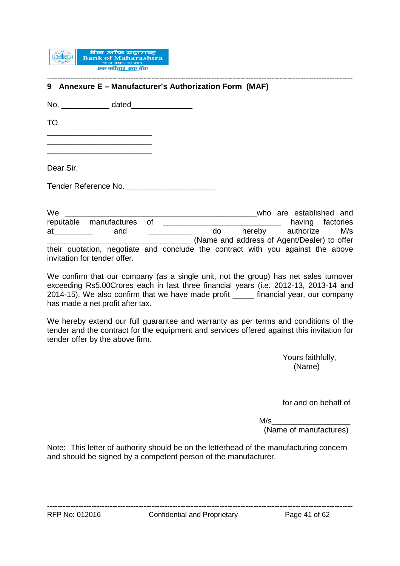

#### --------------------------------------------------------------------------------------------------------------------- **9 Annexure E – Manufacturer's Authorization Form (MAF)**

No. \_\_\_\_\_\_\_\_\_\_\_ dated\_\_\_\_\_\_\_\_\_\_\_\_\_\_

TO

\_\_\_\_\_\_\_\_\_\_\_\_\_\_\_\_\_\_\_\_\_\_\_\_ \_\_\_\_\_\_\_\_\_\_\_\_\_\_\_\_\_\_\_\_\_\_\_\_

\_\_\_\_\_\_\_\_\_\_\_\_\_\_\_\_\_\_\_\_\_\_\_\_

Dear Sir,

Tender Reference No.

We extend the set of the set of the set of the set of the set of the set of the set of the set of the set of the set of the set of the set of the set of the set of the set of the set of the set of the set of the set of the reputable manufactures of **with the manufactures** of **with the manufactures** of **having** factories at and and and and and authorize M/s \_\_\_\_\_\_\_\_\_\_\_\_\_\_\_\_\_\_\_\_\_\_\_\_\_\_\_\_\_\_\_\_\_ (Name and address of Agent/Dealer) to offer their quotation, negotiate and conclude the contract with you against the above invitation for tender offer.

We confirm that our company (as a single unit, not the group) has net sales turnover exceeding Rs5.00Crores each in last three financial years (i.e. 2012-13, 2013-14 and 2014-15). We also confirm that we have made profit \_\_\_\_\_ financial year, our company has made a net profit after tax.

We hereby extend our full guarantee and warranty as per terms and conditions of the tender and the contract for the equipment and services offered against this invitation for tender offer by the above firm.

> Yours faithfully, (Name)

for and on behalf of

 $M\!/\mathrm{s}$ 

(Name of manufactures)

Note: This letter of authority should be on the letterhead of the manufacturing concern and should be signed by a competent person of the manufacturer.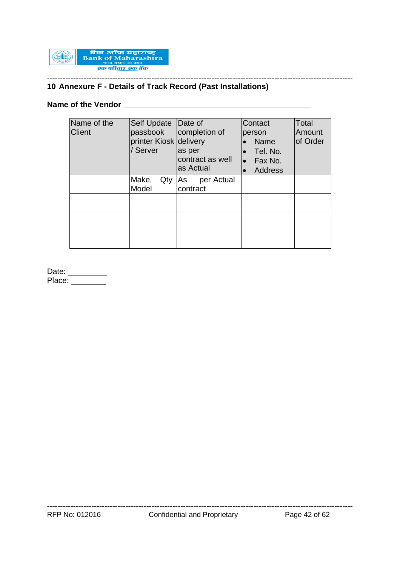

# **10 Annexure F - Details of Track Record (Past Installations)**

# **Name of the Vendor \_\_\_\_\_\_\_\_\_\_\_\_\_\_\_\_\_\_\_\_\_\_\_\_\_\_\_\_\_\_\_\_\_\_\_\_\_\_\_\_\_\_\_**

| Name of the<br><b>Client</b> | <b>Self Update</b><br>passbook<br>Server |     | Date of<br>completion of<br>printer Kiosk delivery<br>as per<br>contract as well<br>as Actual |            | Contact<br>person<br><b>Name</b><br>Tel. No.<br>Fax No.<br><b>Address</b> | Total<br>Amount<br>of Order |
|------------------------------|------------------------------------------|-----|-----------------------------------------------------------------------------------------------|------------|---------------------------------------------------------------------------|-----------------------------|
|                              | Make,<br>Model                           | Qty | As<br>contract                                                                                | per Actual |                                                                           |                             |
|                              |                                          |     |                                                                                               |            |                                                                           |                             |

Date: \_\_\_\_\_\_\_\_\_\_ Place: \_\_\_\_\_\_\_\_\_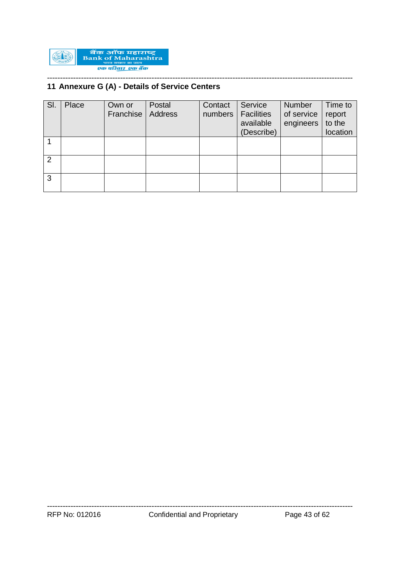

#### --------------------------------------------------------------------------------------------------------------------- **11 Annexure G (A) - Details of Service Centers**

| SI. | Place | Own or<br>Franchise | Postal<br>Address | Contact<br>numbers | Service<br><b>Facilities</b><br>available<br>(Describe) | <b>Number</b><br>of service<br>engineers | Time to<br>report<br>to the<br>location |
|-----|-------|---------------------|-------------------|--------------------|---------------------------------------------------------|------------------------------------------|-----------------------------------------|
|     |       |                     |                   |                    |                                                         |                                          |                                         |
| 2   |       |                     |                   |                    |                                                         |                                          |                                         |
| 3   |       |                     |                   |                    |                                                         |                                          |                                         |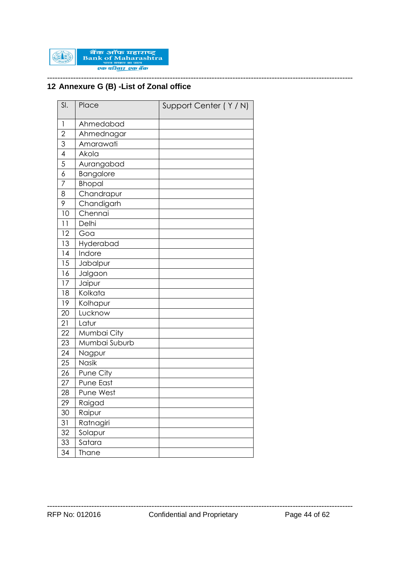

#### --------------------------------------------------------------------------------------------------------------------- **Annexure G (B) -List of Zonal office**

| SI.                      | Place         | Support Center (Y/N) |
|--------------------------|---------------|----------------------|
| 1                        | Ahmedabad     |                      |
| $\overline{2}$           | Ahmednagar    |                      |
| 3                        | Amarawati     |                      |
| $\overline{\mathcal{A}}$ | Akola         |                      |
| 5                        | Aurangabad    |                      |
| 6                        | Bangalore     |                      |
| 7                        | <b>Bhopal</b> |                      |
| 8                        | Chandrapur    |                      |
| 9                        | Chandigarh    |                      |
| 10                       | Chennai       |                      |
| 11                       | Delhi         |                      |
| 12                       | Goa           |                      |
| 13                       | Hyderabad     |                      |
| 14                       | Indore        |                      |
| 15                       | Jabalpur      |                      |
| 16                       | Jalgaon       |                      |
| 17                       | Jaipur        |                      |
| 18                       | Kolkata       |                      |
| 19                       | Kolhapur      |                      |
| 20                       | Lucknow       |                      |
| 21                       | Latur         |                      |
| 22                       | Mumbai City   |                      |
| 23                       | Mumbai Suburb |                      |
| 24                       | Nagpur        |                      |
| 25                       | Nasik         |                      |
| 26                       | Pune City     |                      |
| 27                       | Pune East     |                      |
| 28                       | Pune West     |                      |
| 29                       | Raigad        |                      |
| 30                       | Raipur        |                      |
| 31                       | Ratnagiri     |                      |
| 32                       | Solapur       |                      |
| 33                       | Satara        |                      |
| 34                       | <b>Thane</b>  |                      |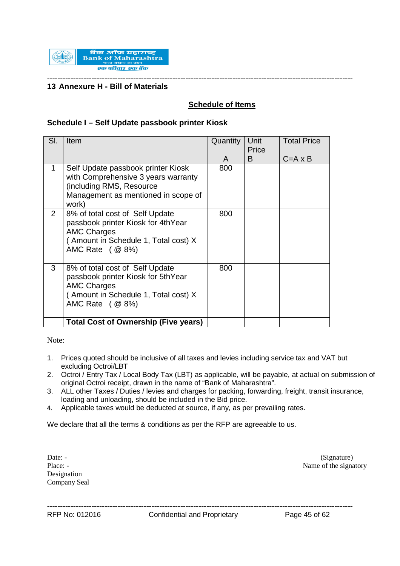

#### **13 Annexure H - Bill of Materials**

# **Schedule of Items**

### **Schedule I – Self Update passbook printer Kiosk**

| SI.                   | Item                                                                                                                                                    | Quantity<br>A | Unit<br>Price<br>B | <b>Total Price</b><br>$C = A \times B$ |
|-----------------------|---------------------------------------------------------------------------------------------------------------------------------------------------------|---------------|--------------------|----------------------------------------|
| 1                     | Self Update passbook printer Kiosk<br>with Comprehensive 3 years warranty<br>(including RMS, Resource<br>Management as mentioned in scope of<br>work)   | 800           |                    |                                        |
| $\mathbf{2}^{\prime}$ | 8% of total cost of Self Update<br>passbook printer Kiosk for 4thYear<br><b>AMC Charges</b><br>(Amount in Schedule 1, Total cost) X<br>AMC Rate ( @ 8%) | 800           |                    |                                        |
| 3                     | 8% of total cost of Self Update<br>passbook printer Kiosk for 5thYear<br><b>AMC Charges</b><br>(Amount in Schedule 1, Total cost) X<br>AMC Rate ( @ 8%) | 800           |                    |                                        |
|                       | <b>Total Cost of Ownership (Five years)</b>                                                                                                             |               |                    |                                        |

Note:

- 1. Prices quoted should be inclusive of all taxes and levies including service tax and VAT but excluding Octroi/LBT
- 2. Octroi / Entry Tax / Local Body Tax (LBT) as applicable, will be payable, at actual on submission of original Octroi receipt, drawn in the name of "Bank of Maharashtra".
- 3. ALL other Taxes / Duties / levies and charges for packing, forwarding, freight, transit insurance, loading and unloading, should be included in the Bid price.
- 4. Applicable taxes would be deducted at source, if any, as per prevailing rates.

We declare that all the terms & conditions as per the RFP are agreeable to us.

Designation Company Seal

Date: - (Signature) Place: - Name of the signatory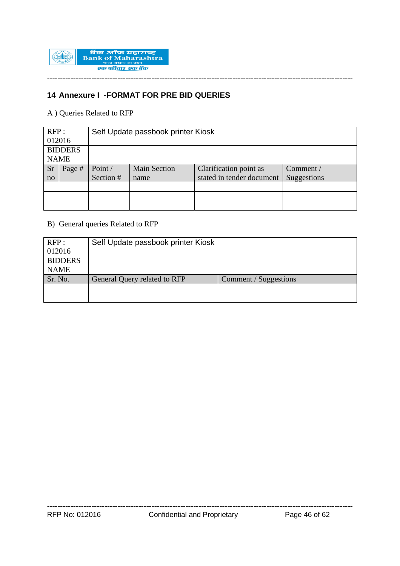

# **14 Annexure I -FORMAT FOR PRE BID QUERIES**

A ) Queries Related to RFP

| RFP:           |        | Self Update passbook printer Kiosk |                     |                           |             |  |  |  |
|----------------|--------|------------------------------------|---------------------|---------------------------|-------------|--|--|--|
| 012016         |        |                                    |                     |                           |             |  |  |  |
| <b>BIDDERS</b> |        |                                    |                     |                           |             |  |  |  |
| <b>NAME</b>    |        |                                    |                     |                           |             |  |  |  |
| <b>Sr</b>      | Page # | Point /                            | <b>Main Section</b> | Clarification point as    | Comment /   |  |  |  |
| no             |        | Section #                          | name                | stated in tender document | Suggestions |  |  |  |
|                |        |                                    |                     |                           |             |  |  |  |
|                |        |                                    |                     |                           |             |  |  |  |
|                |        |                                    |                     |                           |             |  |  |  |

### B) General queries Related to RFP

| RFP:           | Self Update passbook printer Kiosk |                       |  |
|----------------|------------------------------------|-----------------------|--|
| 012016         |                                    |                       |  |
| <b>BIDDERS</b> |                                    |                       |  |
| <b>NAME</b>    |                                    |                       |  |
| Sr. No.        | General Query related to RFP       | Comment / Suggestions |  |
|                |                                    |                       |  |
|                |                                    |                       |  |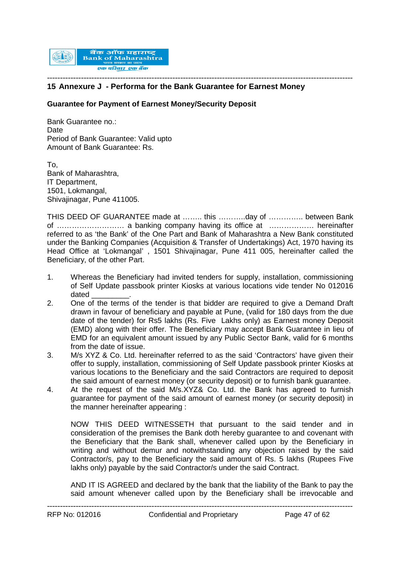

#### --------------------------------------------------------------------------------------------------------------------- **15 Annexure J - Performa for the Bank Guarantee for Earnest Money**

#### **Guarantee for Payment of Earnest Money/Security Deposit**

Bank Guarantee no.: **Date** Period of Bank Guarantee: Valid upto Amount of Bank Guarantee: Rs.

To, Bank of Maharashtra, IT Department, 1501, Lokmangal, Shivajinagar, Pune 411005.

THIS DEED OF GUARANTEE made at …….. this ………..day of ………….. between Bank of ……………………… a banking company having its office at ……………… hereinafter referred to as 'the Bank' of the One Part and Bank of Maharashtra a New Bank constituted under the Banking Companies (Acquisition & Transfer of Undertakings) Act, 1970 having its Head Office at 'Lokmangal' , 1501 Shivajinagar, Pune 411 005, hereinafter called the Beneficiary, of the other Part.

- 1. Whereas the Beneficiary had invited tenders for supply, installation, commissioning of Self Update passbook printer Kiosks at various locations vide tender No 012016 dated \_\_\_\_\_\_\_\_\_.
- 2. One of the terms of the tender is that bidder are required to give a Demand Draft drawn in favour of beneficiary and payable at Pune, (valid for 180 days from the due date of the tender) for Rs5 lakhs (Rs. Five Lakhs only) as Earnest money Deposit (EMD) along with their offer. The Beneficiary may accept Bank Guarantee in lieu of EMD for an equivalent amount issued by any Public Sector Bank, valid for 6 months from the date of issue.
- 3. M/s XYZ & Co. Ltd. hereinafter referred to as the said 'Contractors' have given their offer to supply, installation, commissioning of Self Update passbook printer Kiosks at various locations to the Beneficiary and the said Contractors are required to deposit the said amount of earnest money (or security deposit) or to furnish bank guarantee.
- 4. At the request of the said M/s.XYZ& Co. Ltd. the Bank has agreed to furnish guarantee for payment of the said amount of earnest money (or security deposit) in the manner hereinafter appearing :

NOW THIS DEED WITNESSETH that pursuant to the said tender and in consideration of the premises the Bank doth hereby guarantee to and covenant with the Beneficiary that the Bank shall, whenever called upon by the Beneficiary in writing and without demur and notwithstanding any objection raised by the said Contractor/s, pay to the Beneficiary the said amount of Rs. 5 lakhs (Rupees Five lakhs only) payable by the said Contractor/s under the said Contract.

AND IT IS AGREED and declared by the bank that the liability of the Bank to pay the said amount whenever called upon by the Beneficiary shall be irrevocable and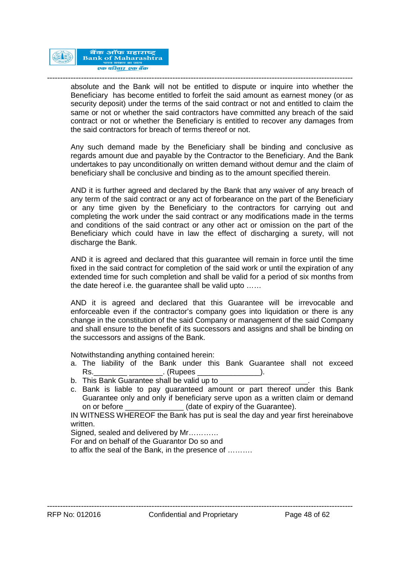

-------------------------------------------------------------------------------------------------------------------- absolute and the Bank will not be entitled to dispute or inquire into whether the Beneficiary has become entitled to forfeit the said amount as earnest money (or as security deposit) under the terms of the said contract or not and entitled to claim the same or not or whether the said contractors have committed any breach of the said contract or not or whether the Beneficiary is entitled to recover any damages from the said contractors for breach of terms thereof or not.

Any such demand made by the Beneficiary shall be binding and conclusive as regards amount due and payable by the Contractor to the Beneficiary. And the Bank undertakes to pay unconditionally on written demand without demur and the claim of beneficiary shall be conclusive and binding as to the amount specified therein.

AND it is further agreed and declared by the Bank that any waiver of any breach of any term of the said contract or any act of forbearance on the part of the Beneficiary or any time given by the Beneficiary to the contractors for carrying out and completing the work under the said contract or any modifications made in the terms and conditions of the said contract or any other act or omission on the part of the Beneficiary which could have in law the effect of discharging a surety, will not discharge the Bank.

AND it is agreed and declared that this guarantee will remain in force until the time fixed in the said contract for completion of the said work or until the expiration of any extended time for such completion and shall be valid for a period of six months from the date hereof i.e. the guarantee shall be valid upto ……

AND it is agreed and declared that this Guarantee will be irrevocable and enforceable even if the contractor's company goes into liquidation or there is any change in the constitution of the said Company or management of the said Company and shall ensure to the benefit of its successors and assigns and shall be binding on the successors and assigns of the Bank.

Notwithstanding anything contained herein:

- a. The liability of the Bank under this Bank Guarantee shall not exceed Rs. The contract  $\blacksquare$  (Rupees the contract of  $\blacksquare$ ).
- b. This Bank Guarantee shall be valid up to
- c. Bank is liable to pay guaranteed amount or part thereof under this Bank Guarantee only and only if beneficiary serve upon as a written claim or demand on or before \_\_\_\_\_\_\_\_\_\_\_\_\_\_\_(date of expiry of the Guarantee).

IN WITNESS WHEREOF the Bank has put is seal the day and year first hereinabove written.

Signed, sealed and delivered by Mr...........

For and on behalf of the Guarantor Do so and

to affix the seal of the Bank, in the presence of ……….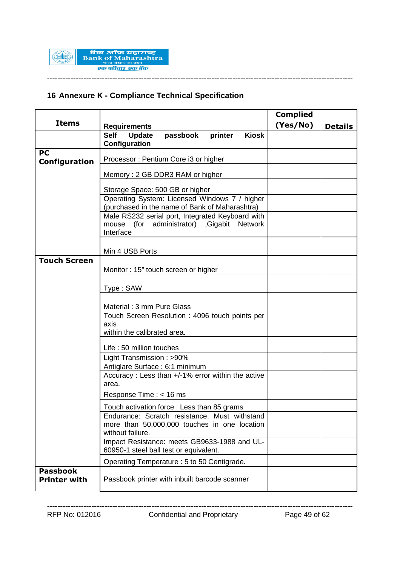

# **16 Annexure K - Compliance Technical Specification**

|                                        |                                                                                                                   | <b>Complied</b> |                |
|----------------------------------------|-------------------------------------------------------------------------------------------------------------------|-----------------|----------------|
| <b>Items</b>                           | <b>Requirements</b>                                                                                               | (Yes/No)        | <b>Details</b> |
|                                        | Update<br><b>Self</b><br>passbook<br>printer<br><b>Kiosk</b><br>Configuration                                     |                 |                |
| <b>PC</b><br>Configuration             | Processor: Pentium Core i3 or higher                                                                              |                 |                |
|                                        | Memory: 2 GB DDR3 RAM or higher                                                                                   |                 |                |
|                                        | Storage Space: 500 GB or higher                                                                                   |                 |                |
|                                        | Operating System: Licensed Windows 7 / higher                                                                     |                 |                |
|                                        | (purchased in the name of Bank of Maharashtra)<br>Male RS232 serial port, Integrated Keyboard with                |                 |                |
|                                        | mouse (for administrator) , Gigabit Network<br>Interface                                                          |                 |                |
|                                        | Min 4 USB Ports                                                                                                   |                 |                |
| <b>Touch Screen</b>                    | Monitor: 15" touch screen or higher                                                                               |                 |                |
|                                        |                                                                                                                   |                 |                |
|                                        | Type: SAW                                                                                                         |                 |                |
|                                        | Material: 3 mm Pure Glass                                                                                         |                 |                |
|                                        | Touch Screen Resolution: 4096 touch points per                                                                    |                 |                |
|                                        | axis<br>within the calibrated area.                                                                               |                 |                |
|                                        | Life: 50 million touches                                                                                          |                 |                |
|                                        | Light Transmission: >90%                                                                                          |                 |                |
|                                        | Antiglare Surface: 6:1 minimum<br>Accuracy: Less than +/-1% error within the active                               |                 |                |
|                                        | area.                                                                                                             |                 |                |
|                                        | Response Time : < 16 ms                                                                                           |                 |                |
|                                        | Touch activation force: Less than 85 grams                                                                        |                 |                |
|                                        | Endurance: Scratch resistance. Must withstand<br>more than 50,000,000 touches in one location<br>without failure. |                 |                |
|                                        | Impact Resistance: meets GB9633-1988 and UL-<br>60950-1 steel ball test or equivalent.                            |                 |                |
|                                        | Operating Temperature : 5 to 50 Centigrade.                                                                       |                 |                |
| <b>Passbook</b><br><b>Printer with</b> | Passbook printer with inbuilt barcode scanner                                                                     |                 |                |

---------------------------------------------------------------------------------------------------------------------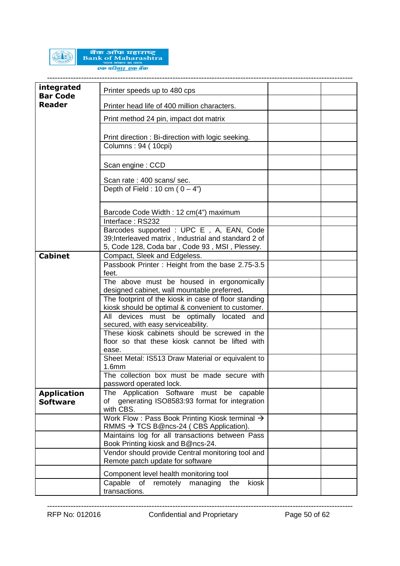

बैंक ऑफ महाराष्ट्र<br>Bank of Maharashtra एक परिवार एक बैंक

| integrated<br><b>Bar Code</b> | Printer speeds up to 480 cps                                                                         |  |
|-------------------------------|------------------------------------------------------------------------------------------------------|--|
| <b>Reader</b>                 | Printer head life of 400 million characters.                                                         |  |
|                               | Print method 24 pin, impact dot matrix                                                               |  |
|                               |                                                                                                      |  |
|                               | Print direction : Bi-direction with logic seeking.<br>Columns: 94 (10cpi)                            |  |
|                               |                                                                                                      |  |
|                               | Scan engine: CCD                                                                                     |  |
|                               | Scan rate: 400 scans/sec.                                                                            |  |
|                               | Depth of Field : 10 cm ( $0 - 4$ ")                                                                  |  |
|                               | Barcode Code Width: 12 cm(4") maximum                                                                |  |
|                               | Interface: RS232                                                                                     |  |
|                               | Barcodes supported : UPC E, A, EAN, Code<br>39; Interleaved matrix, Industrial and standard 2 of     |  |
|                               | 5, Code 128, Coda bar, Code 93, MSI, Plessey.                                                        |  |
| <b>Cabinet</b>                | Compact, Sleek and Edgeless.                                                                         |  |
|                               | Passbook Printer: Height from the base 2.75-3.5                                                      |  |
|                               | feet.                                                                                                |  |
|                               | The above must be housed in ergonomically<br>designed cabinet, wall mountable preferred.             |  |
|                               | The footprint of the kiosk in case of floor standing                                                 |  |
|                               | kiosk should be optimal & convenient to customer.                                                    |  |
|                               | All devices must be optimally located and                                                            |  |
|                               | secured, with easy serviceability.                                                                   |  |
|                               | These kiosk cabinets should be screwed in the                                                        |  |
|                               | floor so that these kiosk cannot be lifted with<br>ease.                                             |  |
|                               | Sheet Metal: IS513 Draw Material or equivalent to                                                    |  |
|                               | 1.6mm                                                                                                |  |
|                               | The collection box must be made secure with<br>password operated lock.                               |  |
| <b>Application</b>            | The Application Software must be capable                                                             |  |
| <b>Software</b>               | of generating ISO8583:93 format for integration                                                      |  |
|                               | with CBS.                                                                                            |  |
|                               | Work Flow: Pass Book Printing Kiosk terminal $\rightarrow$<br>RMMS → TCS B@ncs-24 (CBS Application). |  |
|                               | Maintains log for all transactions between Pass<br>Book Printing kiosk and B@ncs-24.                 |  |
|                               | Vendor should provide Central monitoring tool and                                                    |  |
|                               | Remote patch update for software                                                                     |  |
|                               | Component level health monitoring tool                                                               |  |
|                               | Capable<br>remotely<br>kiosk<br>οf<br>managing<br>the                                                |  |
|                               | transactions.                                                                                        |  |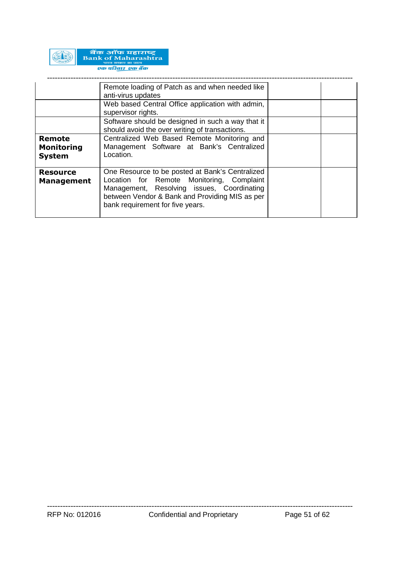

|                                              | Remote loading of Patch as and when needed like<br>anti-virus updates                                                                                                                                                            |  |
|----------------------------------------------|----------------------------------------------------------------------------------------------------------------------------------------------------------------------------------------------------------------------------------|--|
|                                              | Web based Central Office application with admin,<br>supervisor rights.                                                                                                                                                           |  |
|                                              | Software should be designed in such a way that it<br>should avoid the over writing of transactions.                                                                                                                              |  |
| Remote<br><b>Monitoring</b><br><b>System</b> | Centralized Web Based Remote Monitoring and<br>Management Software at Bank's Centralized<br>Location.                                                                                                                            |  |
| <b>Resource</b><br><b>Management</b>         | One Resource to be posted at Bank's Centralized<br>Location for Remote Monitoring, Complaint<br>Management, Resolving issues, Coordinating<br>between Vendor & Bank and Providing MIS as per<br>bank requirement for five years. |  |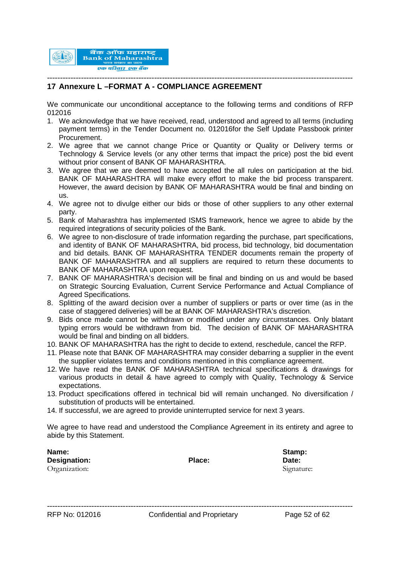

#### --------------------------------------------------------------------------------------------------------------------- **17 Annexure L –FORMAT A - COMPLIANCE AGREEMENT**

We communicate our unconditional acceptance to the following terms and conditions of RFP 012016

- 1. We acknowledge that we have received, read, understood and agreed to all terms (including payment terms) in the Tender Document no. 012016for the Self Update Passbook printer Procurement.
- 2. We agree that we cannot change Price or Quantity or Quality or Delivery terms or Technology & Service levels (or any other terms that impact the price) post the bid event without prior consent of BANK OF MAHARASHTRA.
- 3. We agree that we are deemed to have accepted the all rules on participation at the bid. BANK OF MAHARASHTRA will make every effort to make the bid process transparent. However, the award decision by BANK OF MAHARASHTRA would be final and binding on us.
- 4. We agree not to divulge either our bids or those of other suppliers to any other external party.
- 5. Bank of Maharashtra has implemented ISMS framework, hence we agree to abide by the required integrations of security policies of the Bank.
- 6. We agree to non-disclosure of trade information regarding the purchase, part specifications, and identity of BANK OF MAHARASHTRA, bid process, bid technology, bid documentation and bid details. BANK OF MAHARASHTRA TENDER documents remain the property of BANK OF MAHARASHTRA and all suppliers are required to return these documents to BANK OF MAHARASHTRA upon request.
- 7. BANK OF MAHARASHTRA's decision will be final and binding on us and would be based on Strategic Sourcing Evaluation, Current Service Performance and Actual Compliance of Agreed Specifications.
- 8. Splitting of the award decision over a number of suppliers or parts or over time (as in the case of staggered deliveries) will be at BANK OF MAHARASHTRA's discretion.
- 9. Bids once made cannot be withdrawn or modified under any circumstances. Only blatant typing errors would be withdrawn from bid. The decision of BANK OF MAHARASHTRA would be final and binding on all bidders.
- 10. BANK OF MAHARASHTRA has the right to decide to extend, reschedule, cancel the RFP.
- 11. Please note that BANK OF MAHARASHTRA may consider debarring a supplier in the event the supplier violates terms and conditions mentioned in this compliance agreement.
- 12. We have read the BANK OF MAHARASHTRA technical specifications & drawings for various products in detail & have agreed to comply with Quality, Technology & Service expectations.
- 13. Product specifications offered in technical bid will remain unchanged. No diversification / substitution of products will be entertained.
- 14. If successful, we are agreed to provide uninterrupted service for next 3 years.

We agree to have read and understood the Compliance Agreement in its entirety and agree to abide by this Statement.

| Name:         |        | Stamp:     |
|---------------|--------|------------|
| Designation:  | Place: | Date:      |
| Organization: |        | Signature: |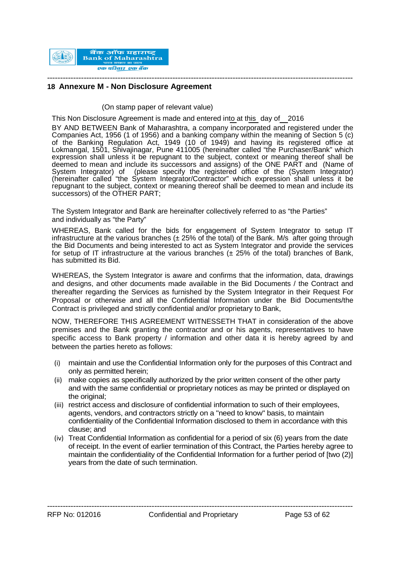

#### --------------------------------------------------------------------------------------------------------------------- **18 Annexure M - Non Disclosure Agreement**

(On stamp paper of relevant value)

This Non Disclosure Agreement is made and entered into at this day of 2016

BY AND BETWEEN Bank of Maharashtra, a company incorporated and registered under the Companies Act, 1956 (1 of 1956) and a banking company within the meaning of Section 5 (c) of the Banking Regulation Act, 1949 (10 of 1949) and having its registered office at Lokmangal, 1501, Shivajinagar, Pune 411005 (hereinafter called "the Purchaser/Bank" which expression shall unless it be repugnant to the subject, context or meaning thereof shall be deemed to mean and include its successors and assigns) of the ONE PART and (Name of System Integrator) of (please specify the registered office of the (System Integrator) (hereinafter called "the System Integrator/Contractor" which expression shall unless it be repugnant to the subject, context or meaning thereof shall be deemed to mean and include its successors) of the OTHER PART;

The System Integrator and Bank are hereinafter collectively referred to as "the Parties" and individually as "the Party"

WHEREAS, Bank called for the bids for engagement of System Integrator to setup IT infrastructure at the various branches  $(\pm 25\%$  of the total) of the Bank. M/s after going through the Bid Documents and being interested to act as System Integrator and provide the services for setup of IT infrastructure at the various branches  $(± 25\%$  of the total) branches of Bank, has submitted its Bid.

WHEREAS, the System Integrator is aware and confirms that the information, data, drawings and designs, and other documents made available in the Bid Documents / the Contract and thereafter regarding the Services as furnished by the System Integrator in their Request For Proposal or otherwise and all the Confidential Information under the Bid Documents/the Contract is privileged and strictly confidential and/or proprietary to Bank,

NOW, THEREFORE THIS AGREEMENT WITNESSETH THAT in consideration of the above premises and the Bank granting the contractor and or his agents, representatives to have specific access to Bank property / information and other data it is hereby agreed by and between the parties hereto as follows:

- (i) maintain and use the Confidential Information only for the purposes of this Contract and only as permitted herein;
- (ii) make copies as specifically authorized by the prior written consent of the other party and with the same confidential or proprietary notices as may be printed or displayed on the original:
- (iii) restrict access and disclosure of confidential information to such of their employees, agents, vendors, and contractors strictly on a "need to know" basis, to maintain confidentiality of the Confidential Information disclosed to them in accordance with this clause; and
- (iv) Treat Confidential Information as confidential for a period of six (6) years from the date of receipt. In the event of earlier termination of this Contract, the Parties hereby agree to maintain the confidentiality of the Confidential Information for a further period of [two (2)] years from the date of such termination.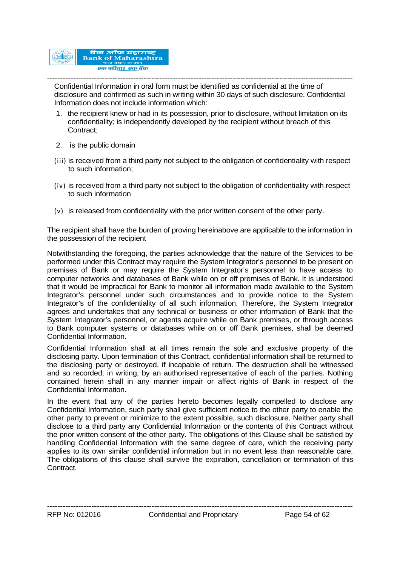

--------------------------------------------------------------------------------------------------------------------- Confidential Information in oral form must be identified as confidential at the time of disclosure and confirmed as such in writing within 30 days of such disclosure. Confidential Information does not include information which:

- 1. the recipient knew or had in its possession, prior to disclosure, without limitation on its confidentiality; is independently developed by the recipient without breach of this Contract;
- 2. is the public domain
- (iii) is received from a third party not subject to the obligation of confidentiality with respect to such information;
- (iv) is received from a third party not subject to the obligation of confidentiality with respect to such information
- (v) is released from confidentiality with the prior written consent of the other party.

The recipient shall have the burden of proving hereinabove are applicable to the information in the possession of the recipient

Notwithstanding the foregoing, the parties acknowledge that the nature of the Services to be performed under this Contract may require the System Integrator's personnel to be present on premises of Bank or may require the System Integrator's personnel to have access to computer networks and databases of Bank while on or off premises of Bank. It is understood that it would be impractical for Bank to monitor all information made available to the System Integrator's personnel under such circumstances and to provide notice to the System Integrator's of the confidentiality of all such information. Therefore, the System Integrator agrees and undertakes that any technical or business or other information of Bank that the System Integrator's personnel, or agents acquire while on Bank premises, or through access to Bank computer systems or databases while on or off Bank premises, shall be deemed Confidential Information.

Confidential Information shall at all times remain the sole and exclusive property of the disclosing party. Upon termination of this Contract, confidential information shall be returned to the disclosing party or destroyed, if incapable of return. The destruction shall be witnessed and so recorded, in writing, by an authorised representative of each of the parties. Nothing contained herein shall in any manner impair or affect rights of Bank in respect of the Confidential Information.

In the event that any of the parties hereto becomes legally compelled to disclose any Confidential Information, such party shall give sufficient notice to the other party to enable the other party to prevent or minimize to the extent possible, such disclosure. Neither party shall disclose to a third party any Confidential Information or the contents of this Contract without the prior written consent of the other party. The obligations of this Clause shall be satisfied by handling Confidential Information with the same degree of care, which the receiving party applies to its own similar confidential information but in no event less than reasonable care. The obligations of this clause shall survive the expiration, cancellation or termination of this Contract.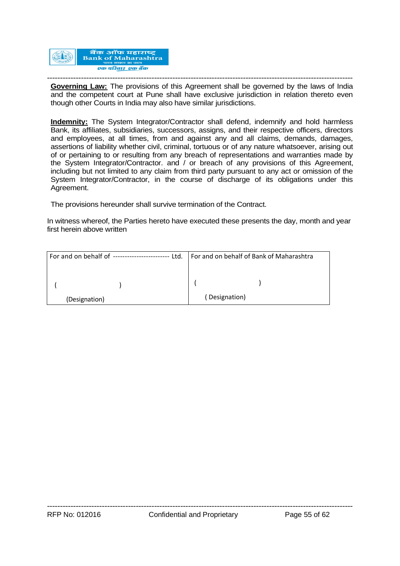

--------------------------------------------------------------------------------------------------------------------- **Governing Law:** The provisions of this Agreement shall be governed by the laws of India and the competent court at Pune shall have exclusive jurisdiction in relation thereto even though other Courts in India may also have similar jurisdictions.

**Indemnity:** The System Integrator/Contractor shall defend, indemnify and hold harmless Bank, its affiliates, subsidiaries, successors, assigns, and their respective officers, directors and employees, at all times, from and against any and all claims, demands, damages, assertions of liability whether civil, criminal, tortuous or of any nature whatsoever, arising out of or pertaining to or resulting from any breach of representations and warranties made by the System Integrator/Contractor. and / or breach of any provisions of this Agreement, including but not limited to any claim from third party pursuant to any act or omission of the System Integrator/Contractor, in the course of discharge of its obligations under this Agreement.

The provisions hereunder shall survive termination of the Contract.

In witness whereof, the Parties hereto have executed these presents the day, month and year first herein above written

| For and on behalf of ------------------------<br>Ltd. | For and on behalf of Bank of Maharashtra |  |  |
|-------------------------------------------------------|------------------------------------------|--|--|
|                                                       |                                          |  |  |
|                                                       |                                          |  |  |
|                                                       |                                          |  |  |
| (Designation)                                         | (Designation)                            |  |  |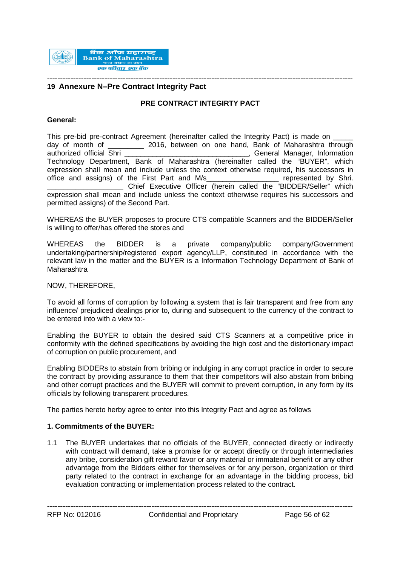

#### **19 Annexure N–Pre Contract Integrity Pact**

#### **PRE CONTRACT INTEGIRTY PACT**

#### **General:**

This pre-bid pre-contract Agreement (hereinafter called the Integrity Pact) is made on \_\_\_\_\_ day of month of 2016, between on one hand, Bank of Maharashtra through authorized official Shri \_\_\_\_\_\_\_\_\_\_\_\_\_\_\_\_\_\_\_\_\_\_\_\_\_\_\_\_\_\_\_, General Manager, Information Technology Department, Bank of Maharashtra (hereinafter called the "BUYER", which expression shall mean and include unless the context otherwise required, his successors in office and assigns) of the First Part and M/s represented by Shri. Chief Executive Officer (herein called the "BIDDER/Seller" which expression shall mean and include unless the context otherwise requires his successors and permitted assigns) of the Second Part.

WHEREAS the BUYER proposes to procure CTS compatible Scanners and the BIDDER/Seller is willing to offer/has offered the stores and

WHEREAS the BIDDER is a private company/public company/Government undertaking/partnership/registered export agency/LLP, constituted in accordance with the relevant law in the matter and the BUYER is a Information Technology Department of Bank of Maharashtra

NOW, THEREFORE,

To avoid all forms of corruption by following a system that is fair transparent and free from any influence/ prejudiced dealings prior to, during and subsequent to the currency of the contract to be entered into with a view to:-

Enabling the BUYER to obtain the desired said CTS Scanners at a competitive price in conformity with the defined specifications by avoiding the high cost and the distortionary impact of corruption on public procurement, and

Enabling BIDDERs to abstain from bribing or indulging in any corrupt practice in order to secure the contract by providing assurance to them that their competitors will also abstain from bribing and other corrupt practices and the BUYER will commit to prevent corruption, in any form by its officials by following transparent procedures.

The parties hereto herby agree to enter into this Integrity Pact and agree as follows

#### **1. Commitments of the BUYER:**

1.1 The BUYER undertakes that no officials of the BUYER, connected directly or indirectly with contract will demand, take a promise for or accept directly or through intermediaries any bribe, consideration gift reward favor or any material or immaterial benefit or any other advantage from the Bidders either for themselves or for any person, organization or third party related to the contract in exchange for an advantage in the bidding process, bid evaluation contracting or implementation process related to the contract.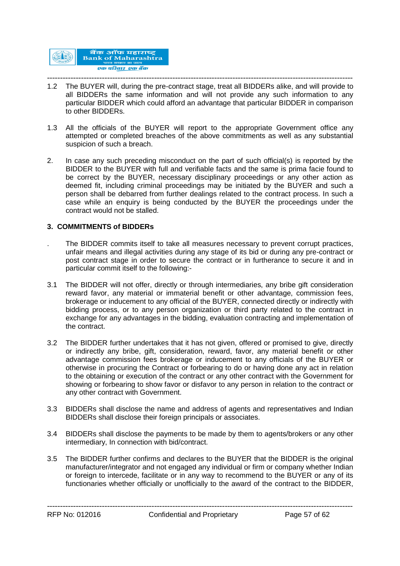

- --------------------------------------------------------------------------------------------------------------------- 1.2 The BUYER will, during the pre-contract stage, treat all BIDDERs alike, and will provide to all BIDDERs the same information and will not provide any such information to any particular BIDDER which could afford an advantage that particular BIDDER in comparison to other BIDDERs.
- 1.3 All the officials of the BUYER will report to the appropriate Government office any attempted or completed breaches of the above commitments as well as any substantial suspicion of such a breach.
- 2. In case any such preceding misconduct on the part of such official(s) is reported by the BIDDER to the BUYER with full and verifiable facts and the same is prima facie found to be correct by the BUYER, necessary disciplinary proceedings or any other action as deemed fit, including criminal proceedings may be initiated by the BUYER and such a person shall be debarred from further dealings related to the contract process. In such a case while an enquiry is being conducted by the BUYER the proceedings under the contract would not be stalled.

#### **3. COMMITMENTS of BIDDERs**

- . The BIDDER commits itself to take all measures necessary to prevent corrupt practices, unfair means and illegal activities during any stage of its bid or during any pre-contract or post contract stage in order to secure the contract or in furtherance to secure it and in particular commit itself to the following:-
- 3.1 The BIDDER will not offer, directly or through intermediaries, any bribe gift consideration reward favor, any material or immaterial benefit or other advantage, commission fees, brokerage or inducement to any official of the BUYER, connected directly or indirectly with bidding process, or to any person organization or third party related to the contract in exchange for any advantages in the bidding, evaluation contracting and implementation of the contract.
- 3.2 The BIDDER further undertakes that it has not given, offered or promised to give, directly or indirectly any bribe, gift, consideration, reward, favor, any material benefit or other advantage commission fees brokerage or inducement to any officials of the BUYER or otherwise in procuring the Contract or forbearing to do or having done any act in relation to the obtaining or execution of the contract or any other contract with the Government for showing or forbearing to show favor or disfavor to any person in relation to the contract or any other contract with Government.
- 3.3 BIDDERs shall disclose the name and address of agents and representatives and Indian BIDDERs shall disclose their foreign principals or associates.
- 3.4 BIDDERs shall disclose the payments to be made by them to agents/brokers or any other intermediary, In connection with bid/contract.
- 3.5 The BIDDER further confirms and declares to the BUYER that the BIDDER is the original manufacturer/integrator and not engaged any individual or firm or company whether Indian or foreign to intercede, facilitate or in any way to recommend to the BUYER or any of its functionaries whether officially or unofficially to the award of the contract to the BIDDER,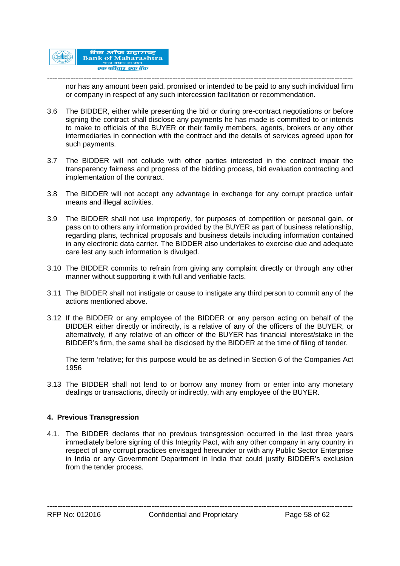

-------------------------------------------------------------------------------------------------------------------- nor has any amount been paid, promised or intended to be paid to any such individual firm or company in respect of any such intercession facilitation or recommendation.

- 3.6 The BIDDER, either while presenting the bid or during pre-contract negotiations or before signing the contract shall disclose any payments he has made is committed to or intends to make to officials of the BUYER or their family members, agents, brokers or any other intermediaries in connection with the contract and the details of services agreed upon for such payments.
- 3.7 The BIDDER will not collude with other parties interested in the contract impair the transparency fairness and progress of the bidding process, bid evaluation contracting and implementation of the contract.
- 3.8 The BIDDER will not accept any advantage in exchange for any corrupt practice unfair means and illegal activities.
- 3.9 The BIDDER shall not use improperly, for purposes of competition or personal gain, or pass on to others any information provided by the BUYER as part of business relationship, regarding plans, technical proposals and business details including information contained in any electronic data carrier. The BIDDER also undertakes to exercise due and adequate care lest any such information is divulged.
- 3.10 The BIDDER commits to refrain from giving any complaint directly or through any other manner without supporting it with full and verifiable facts.
- 3.11 The BIDDER shall not instigate or cause to instigate any third person to commit any of the actions mentioned above.
- 3.12 If the BIDDER or any employee of the BIDDER or any person acting on behalf of the BIDDER either directly or indirectly, is a relative of any of the officers of the BUYER, or alternatively, if any relative of an officer of the BUYER has financial interest/stake in the BIDDER's firm, the same shall be disclosed by the BIDDER at the time of filing of tender.

The term 'relative; for this purpose would be as defined in Section 6 of the Companies Act 1956

3.13 The BIDDER shall not lend to or borrow any money from or enter into any monetary dealings or transactions, directly or indirectly, with any employee of the BUYER.

#### **4. Previous Transgression**

4.1. The BIDDER declares that no previous transgression occurred in the last three years immediately before signing of this Integrity Pact, with any other company in any country in respect of any corrupt practices envisaged hereunder or with any Public Sector Enterprise in India or any Government Department in India that could justify BIDDER's exclusion from the tender process.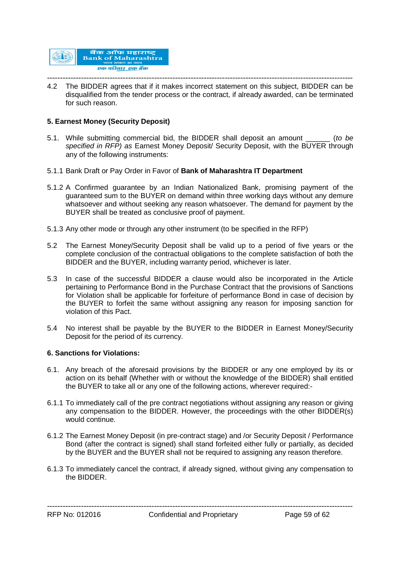

--------------------------------------------------------------------------------------------------------------------- 4.2 The BIDDER agrees that if it makes incorrect statement on this subject, BIDDER can be disqualified from the tender process or the contract, if already awarded, can be terminated for such reason.

#### **5. Earnest Money (Security Deposit)**

- 5.1. While submitting commercial bid, the BIDDER shall deposit an amount \_\_\_\_\_\_ (*to be specified in RFP) as* Earnest Money Deposit/ Security Deposit, with the BUYER through any of the following instruments:
- 5.1.1 Bank Draft or Pay Order in Favor of **Bank of Maharashtra IT Department**
- 5.1.2 A Confirmed guarantee by an Indian Nationalized Bank, promising payment of the guaranteed sum to the BUYER on demand within three working days without any demure whatsoever and without seeking any reason whatsoever. The demand for payment by the BUYER shall be treated as conclusive proof of payment.
- 5.1.3 Any other mode or through any other instrument (to be specified in the RFP)
- 5.2 The Earnest Money/Security Deposit shall be valid up to a period of five years or the complete conclusion of the contractual obligations to the complete satisfaction of both the BIDDER and the BUYER, including warranty period, whichever is later.
- 5.3 In case of the successful BIDDER a clause would also be incorporated in the Article pertaining to Performance Bond in the Purchase Contract that the provisions of Sanctions for Violation shall be applicable for forfeiture of performance Bond in case of decision by the BUYER to forfeit the same without assigning any reason for imposing sanction for violation of this Pact.
- 5.4 No interest shall be payable by the BUYER to the BIDDER in Earnest Money/Security Deposit for the period of its currency.

#### **6. Sanctions for Violations:**

- 6.1. Any breach of the aforesaid provisions by the BIDDER or any one employed by its or action on its behalf (Whether with or without the knowledge of the BIDDER) shall entitled the BUYER to take all or any one of the following actions, wherever required:-
- 6.1.1 To immediately call of the pre contract negotiations without assigning any reason or giving any compensation to the BIDDER. However, the proceedings with the other BIDDER(s) would continue.
- 6.1.2 The Earnest Money Deposit (in pre-contract stage) and /or Security Deposit / Performance Bond (after the contract is signed) shall stand forfeited either fully or partially, as decided by the BUYER and the BUYER shall not be required to assigning any reason therefore.
- 6.1.3 To immediately cancel the contract, if already signed, without giving any compensation to the BIDDER.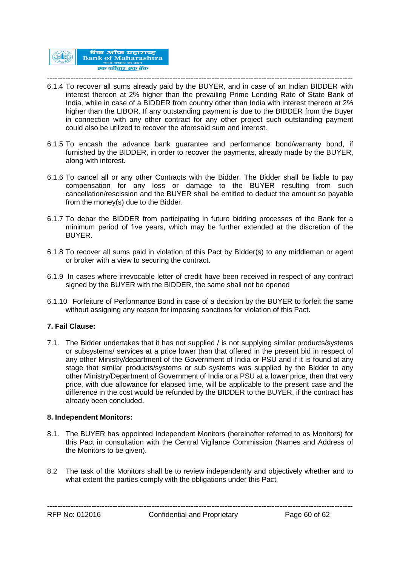

- --------------------------------------------------------------------------------------------------------------------- 6.1.4 To recover all sums already paid by the BUYER, and in case of an Indian BIDDER with interest thereon at 2% higher than the prevailing Prime Lending Rate of State Bank of India, while in case of a BIDDER from country other than India with interest thereon at 2% higher than the LIBOR. If any outstanding payment is due to the BIDDER from the Buyer in connection with any other contract for any other project such outstanding payment could also be utilized to recover the aforesaid sum and interest.
- 6.1.5 To encash the advance bank guarantee and performance bond/warranty bond, if furnished by the BIDDER, in order to recover the payments, already made by the BUYER, along with interest.
- 6.1.6 To cancel all or any other Contracts with the Bidder. The Bidder shall be liable to pay compensation for any loss or damage to the BUYER resulting from such cancellation/rescission and the BUYER shall be entitled to deduct the amount so payable from the money(s) due to the Bidder.
- 6.1.7 To debar the BIDDER from participating in future bidding processes of the Bank for a minimum period of five years, which may be further extended at the discretion of the BUYER.
- 6.1.8 To recover all sums paid in violation of this Pact by Bidder(s) to any middleman or agent or broker with a view to securing the contract.
- 6.1.9 In cases where irrevocable letter of credit have been received in respect of any contract signed by the BUYER with the BIDDER, the same shall not be opened
- 6.1.10 Forfeiture of Performance Bond in case of a decision by the BUYER to forfeit the same without assigning any reason for imposing sanctions for violation of this Pact.

#### **7. Fail Clause:**

7.1. The Bidder undertakes that it has not supplied / is not supplying similar products/systems or subsystems/ services at a price lower than that offered in the present bid in respect of any other Ministry/department of the Government of India or PSU and if it is found at any stage that similar products/systems or sub systems was supplied by the Bidder to any other Ministry/Department of Government of India or a PSU at a lower price, then that very price, with due allowance for elapsed time, will be applicable to the present case and the difference in the cost would be refunded by the BIDDER to the BUYER, if the contract has already been concluded.

#### **8. Independent Monitors:**

- 8.1. The BUYER has appointed Independent Monitors (hereinafter referred to as Monitors) for this Pact in consultation with the Central Vigilance Commission (Names and Address of the Monitors to be given).
- 8.2 The task of the Monitors shall be to review independently and objectively whether and to what extent the parties comply with the obligations under this Pact.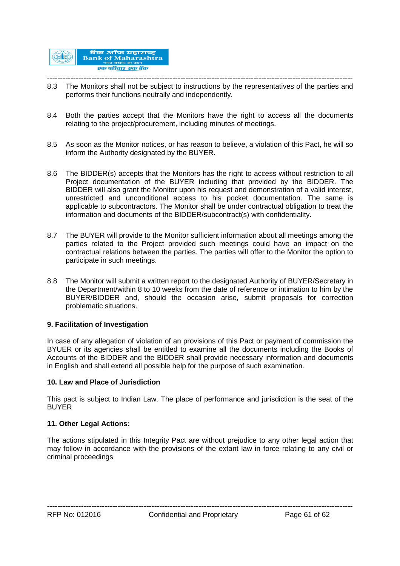

- --------------------------------------------------------------------------------------------------------------------- 8.3 The Monitors shall not be subject to instructions by the representatives of the parties and performs their functions neutrally and independently.
- 8.4 Both the parties accept that the Monitors have the right to access all the documents relating to the project/procurement, including minutes of meetings.
- 8.5 As soon as the Monitor notices, or has reason to believe, a violation of this Pact, he will so inform the Authority designated by the BUYER.
- 8.6 The BIDDER(s) accepts that the Monitors has the right to access without restriction to all Project documentation of the BUYER including that provided by the BIDDER. The BIDDER will also grant the Monitor upon his request and demonstration of a valid interest, unrestricted and unconditional access to his pocket documentation. The same is applicable to subcontractors. The Monitor shall be under contractual obligation to treat the information and documents of the BIDDER/subcontract(s) with confidentiality.
- 8.7 The BUYER will provide to the Monitor sufficient information about all meetings among the parties related to the Project provided such meetings could have an impact on the contractual relations between the parties. The parties will offer to the Monitor the option to participate in such meetings.
- 8.8 The Monitor will submit a written report to the designated Authority of BUYER/Secretary in the Department/within 8 to 10 weeks from the date of reference or intimation to him by the BUYER/BIDDER and, should the occasion arise, submit proposals for correction problematic situations.

#### **9. Facilitation of Investigation**

In case of any allegation of violation of an provisions of this Pact or payment of commission the BYUER or its agencies shall be entitled to examine all the documents including the Books of Accounts of the BIDDER and the BIDDER shall provide necessary information and documents in English and shall extend all possible help for the purpose of such examination.

#### **10. Law and Place of Jurisdiction**

This pact is subject to Indian Law. The place of performance and jurisdiction is the seat of the BUYER

#### **11. Other Legal Actions:**

The actions stipulated in this Integrity Pact are without prejudice to any other legal action that may follow in accordance with the provisions of the extant law in force relating to any civil or criminal proceedings